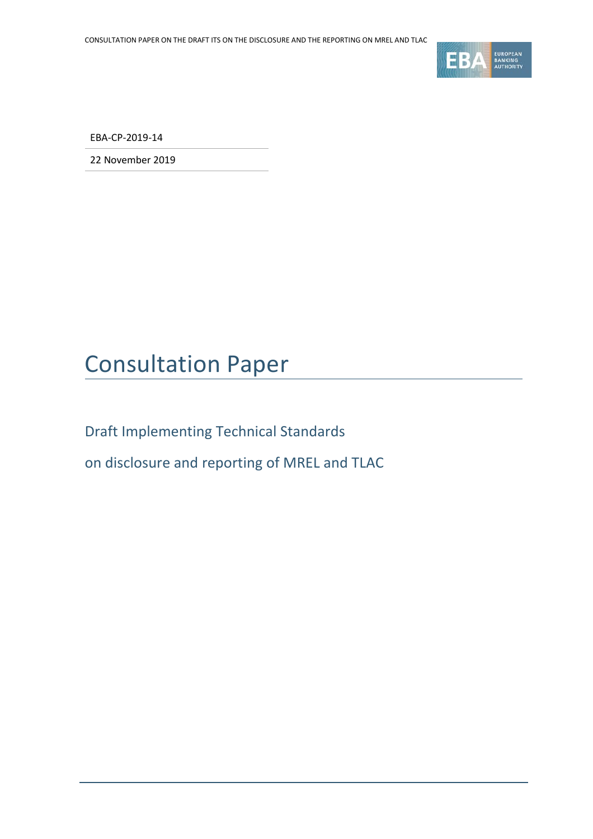

EBA-CP-2019-14

22 November 2019

# Consultation Paper

Draft Implementing Technical Standards

on disclosure and reporting of MREL and TLAC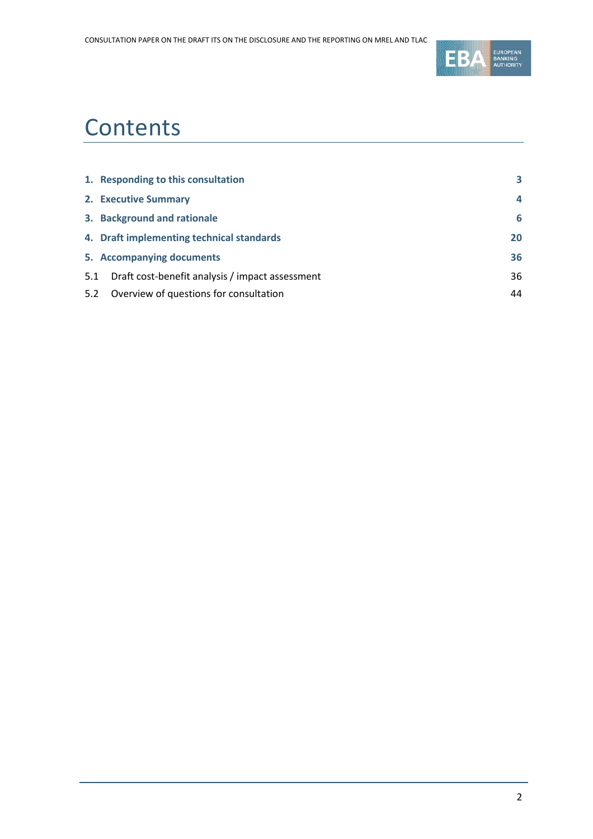

# **Contents**

|     | 1. Responding to this consultation              | 3  |
|-----|-------------------------------------------------|----|
|     | 2. Executive Summary                            | 4  |
|     | 3. Background and rationale                     | 6  |
|     | 4. Draft implementing technical standards       | 20 |
|     | 5. Accompanying documents                       | 36 |
| 5.1 | Draft cost-benefit analysis / impact assessment | 36 |
| 5.2 | Overview of questions for consultation          | 44 |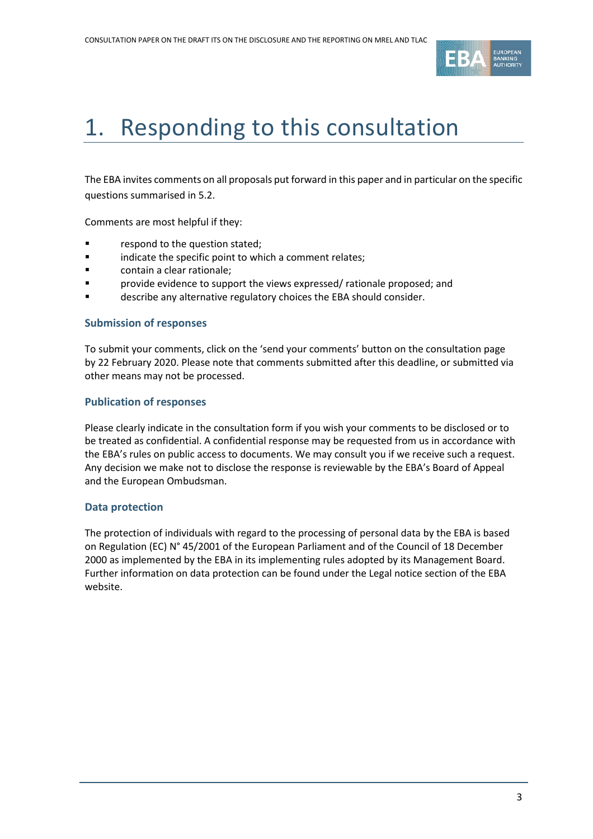

# <span id="page-2-0"></span>1. Responding to this consultation

The EBA invites comments on all proposals put forward in this paper and in particular on the specific questions summarised in 5.2.

Comments are most helpful if they:

- respond to the question stated;
- **Example 3** indicate the specific point to which a comment relates;
- contain a clear rationale;
- provide evidence to support the views expressed/ rationale proposed; and
- describe any alternative regulatory choices the EBA should consider.

#### **Submission of responses**

To submit your comments, click on the 'send your comments' button on the consultation page by 22 February 2020. Please note that comments submitted after this deadline, or submitted via other means may not be processed.

#### **Publication of responses**

Please clearly indicate in the consultation form if you wish your comments to be disclosed or to be treated as confidential. A confidential response may be requested from us in accordance with the EBA's rules on public access to documents. We may consult you if we receive such a request. Any decision we make not to disclose the response is reviewable by the EBA's Board of Appeal and the European Ombudsman.

#### **Data protection**

The protection of individuals with regard to the processing of personal data by the EBA is based on Regulation (EC) N° 45/2001 of the European Parliament and of the Council of 18 December 2000 as implemented by the EBA in its implementing rules adopted by its Management Board. Further information on data protection can be found under the [Legal notice section](http://eba.europa.eu/legal-notice) of the EBA website.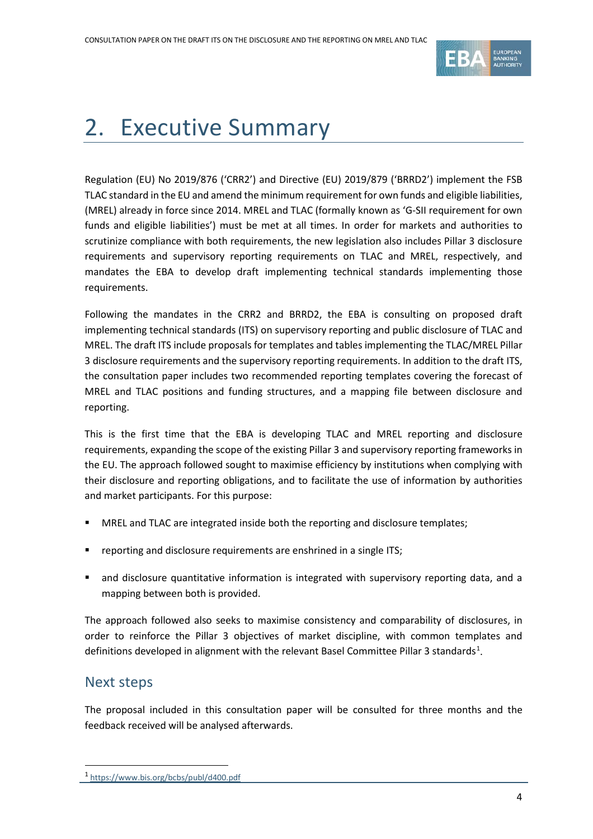

# <span id="page-3-0"></span>2. Executive Summary

Regulation (EU) No 2019/876 ('CRR2') and Directive (EU) 2019/879 ('BRRD2') implement the FSB TLAC standard in the EU and amend the minimum requirement for own funds and eligible liabilities, (MREL) already in force since 2014. MREL and TLAC (formally known as 'G-SII requirement for own funds and eligible liabilities') must be met at all times. In order for markets and authorities to scrutinize compliance with both requirements, the new legislation also includes Pillar 3 disclosure requirements and supervisory reporting requirements on TLAC and MREL, respectively, and mandates the EBA to develop draft implementing technical standards implementing those requirements.

Following the mandates in the CRR2 and BRRD2, the EBA is consulting on proposed draft implementing technical standards (ITS) on supervisory reporting and public disclosure of TLAC and MREL. The draft ITS include proposals for templates and tables implementing the TLAC/MREL Pillar 3 disclosure requirements and the supervisory reporting requirements. In addition to the draft ITS, the consultation paper includes two recommended reporting templates covering the forecast of MREL and TLAC positions and funding structures, and a mapping file between disclosure and reporting.

This is the first time that the EBA is developing TLAC and MREL reporting and disclosure requirements, expanding the scope of the existing Pillar 3 and supervisory reporting frameworks in the EU. The approach followed sought to maximise efficiency by institutions when complying with their disclosure and reporting obligations, and to facilitate the use of information by authorities and market participants. For this purpose:

- MREL and TLAC are integrated inside both the reporting and disclosure templates;
- **•** reporting and disclosure requirements are enshrined in a single ITS;
- and disclosure quantitative information is integrated with supervisory reporting data, and a mapping between both is provided.

The approach followed also seeks to maximise consistency and comparability of disclosures, in order to reinforce the Pillar 3 objectives of market discipline, with common templates and definitions developed in alignment with the relevant Basel Committee Pillar 3 standards<sup>[1](#page-3-1)</sup>.

# Next steps

 $\overline{a}$ 

The proposal included in this consultation paper will be consulted for three months and the feedback received will be analysed afterwards.

<span id="page-3-1"></span><sup>1</sup> <https://www.bis.org/bcbs/publ/d400.pdf>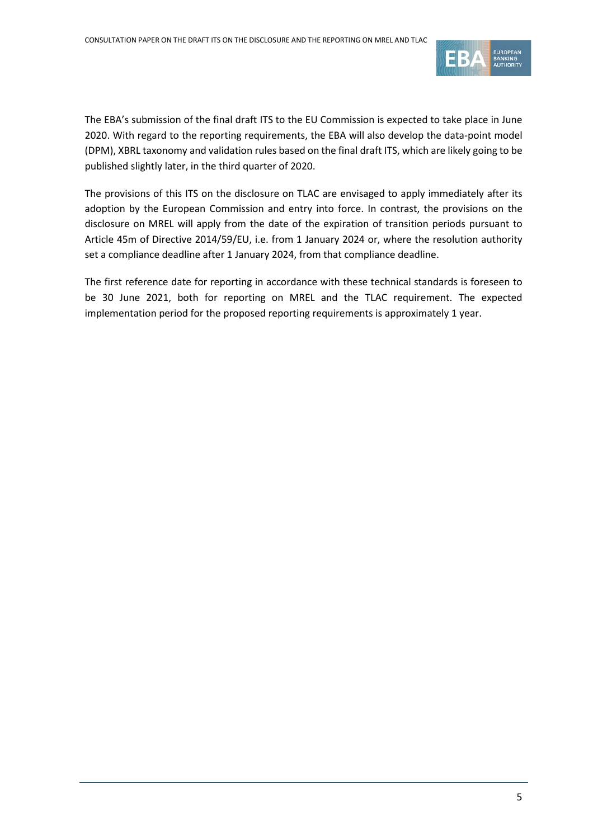

The EBA's submission of the final draft ITS to the EU Commission is expected to take place in June 2020. With regard to the reporting requirements, the EBA will also develop the data-point model (DPM), XBRL taxonomy and validation rules based on the final draft ITS, which are likely going to be published slightly later, in the third quarter of 2020.

The provisions of this ITS on the disclosure on TLAC are envisaged to apply immediately after its adoption by the European Commission and entry into force. In contrast, the provisions on the disclosure on MREL will apply from the date of the expiration of transition periods pursuant to Article 45m of Directive 2014/59/EU, i.e. from 1 January 2024 or, where the resolution authority set a compliance deadline after 1 January 2024, from that compliance deadline.

The first reference date for reporting in accordance with these technical standards is foreseen to be 30 June 2021, both for reporting on MREL and the TLAC requirement. The expected implementation period for the proposed reporting requirements is approximately 1 year.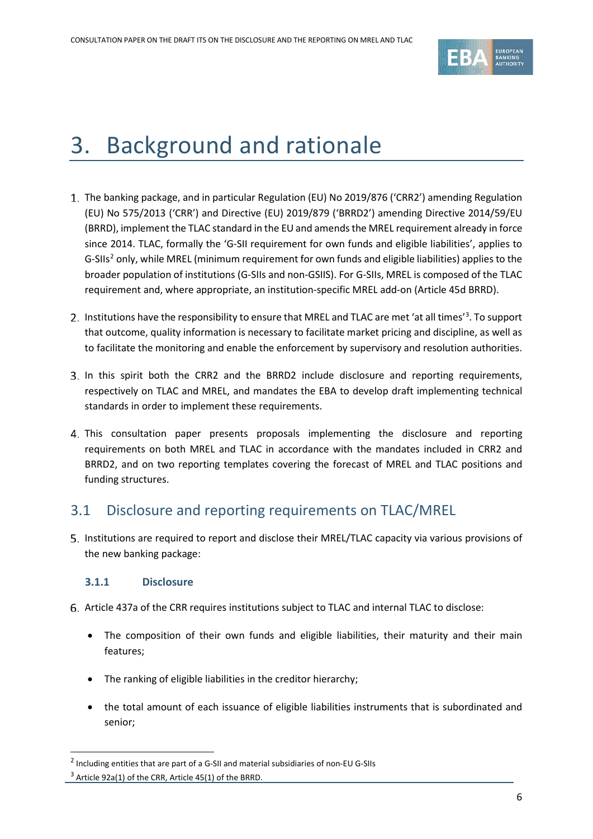

# <span id="page-5-0"></span>3. Background and rationale

- 1. The banking package, and in particular Regulation (EU) No 2019/876 ('CRR2') amending Regulation (EU) No 575/2013 ('CRR') and Directive (EU) 2019/879 ('BRRD2') amending Directive 2014/59/EU (BRRD), implement the TLAC standard in the EU and amends the MREL requirement already in force since 2014. TLAC, formally the 'G-SII requirement for own funds and eligible liabilities', applies to G-SIIs<sup>[2](#page-5-1)</sup> only, while MREL (minimum requirement for own funds and eligible liabilities) applies to the broader population of institutions (G-SIIs and non-GSIIS). For G-SIIs, MREL is composed of the TLAC requirement and, where appropriate, an institution-specific MREL add-on (Article 45d BRRD).
- Institutions have the responsibility to ensure that MREL and TLAC are met 'at all times'<sup>[3](#page-5-2)</sup>. To support that outcome, quality information is necessary to facilitate market pricing and discipline, as well as to facilitate the monitoring and enable the enforcement by supervisory and resolution authorities.
- In this spirit both the CRR2 and the BRRD2 include disclosure and reporting requirements, respectively on TLAC and MREL, and mandates the EBA to develop draft implementing technical standards in order to implement these requirements.
- This consultation paper presents proposals implementing the disclosure and reporting requirements on both MREL and TLAC in accordance with the mandates included in CRR2 and BRRD2, and on two reporting templates covering the forecast of MREL and TLAC positions and funding structures.

# 3.1 Disclosure and reporting requirements on TLAC/MREL

Institutions are required to report and disclose their MREL/TLAC capacity via various provisions of the new banking package:

## **3.1.1 Disclosure**

.

- Article 437a of the CRR requires institutions subject to TLAC and internal TLAC to disclose:
	- The composition of their own funds and eligible liabilities, their maturity and their main features;
	- The ranking of eligible liabilities in the creditor hierarchy;
	- the total amount of each issuance of eligible liabilities instruments that is subordinated and senior;

<span id="page-5-2"></span><span id="page-5-1"></span><sup>2</sup> Including entities that are part of a G-SII and material subsidiaries of non-EU G-SIIs  $3$  Article 92a(1) of the CRR, Article 45(1) of the BRRD.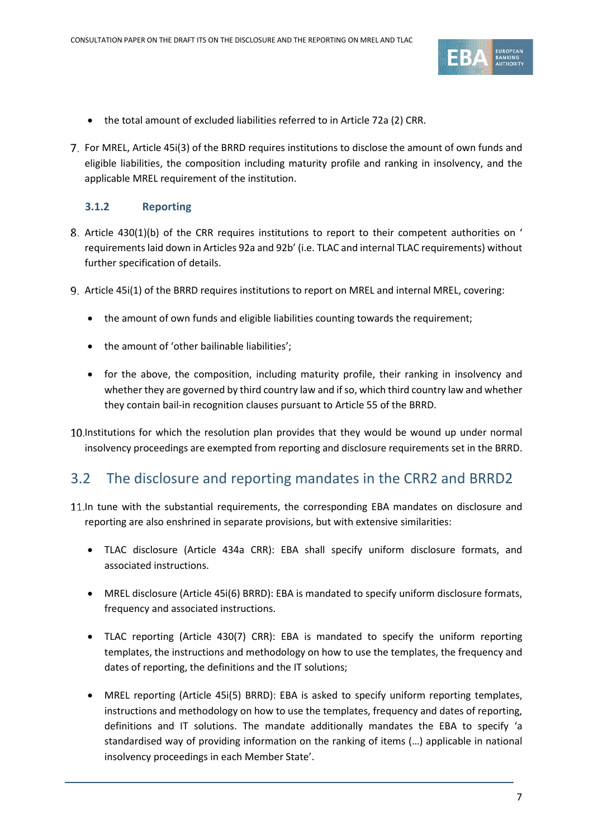

- the total amount of excluded liabilities referred to in Article 72a (2) CRR.
- For MREL, Article 45i(3) of the BRRD requires institutions to disclose the amount of own funds and eligible liabilities, the composition including maturity profile and ranking in insolvency, and the applicable MREL requirement of the institution.

#### **3.1.2 Reporting**

- 8. Article 430(1)(b) of the CRR requires institutions to report to their competent authorities on ' requirements laid down in Articles 92a and 92b' (i.e. TLAC and internal TLAC requirements) without further specification of details.
- Article 45i(1) of the BRRD requires institutions to report on MREL and internal MREL, covering:
	- the amount of own funds and eligible liabilities counting towards the requirement;
	- the amount of 'other bailinable liabilities';
	- for the above, the composition, including maturity profile, their ranking in insolvency and whether they are governed by third country law and if so, which third country law and whether they contain bail-in recognition clauses pursuant to Article 55 of the BRRD.

10. Institutions for which the resolution plan provides that they would be wound up under normal insolvency proceedings are exempted from reporting and disclosure requirements set in the BRRD.

# 3.2 The disclosure and reporting mandates in the CRR2 and BRRD2

- 11. In tune with the substantial requirements, the corresponding EBA mandates on disclosure and reporting are also enshrined in separate provisions, but with extensive similarities:
	- TLAC disclosure (Article 434a CRR): EBA shall specify uniform disclosure formats, and associated instructions.
	- MREL disclosure (Article 45i(6) BRRD): EBA is mandated to specify uniform disclosure formats, frequency and associated instructions.
	- TLAC reporting (Article 430(7) CRR): EBA is mandated to specify the uniform reporting templates, the instructions and methodology on how to use the templates, the frequency and dates of reporting, the definitions and the IT solutions;
	- MREL reporting (Article 45i(5) BRRD): EBA is asked to specify uniform reporting templates, instructions and methodology on how to use the templates, frequency and dates of reporting, definitions and IT solutions. The mandate additionally mandates the EBA to specify 'a standardised way of providing information on the ranking of items (…) applicable in national insolvency proceedings in each Member State'.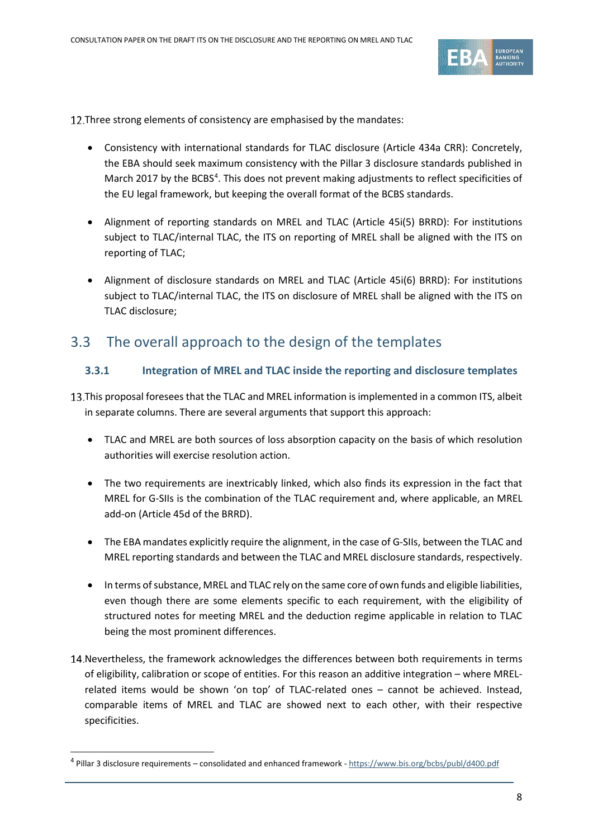

12. Three strong elements of consistency are emphasised by the mandates:

- Consistency with international standards for TLAC disclosure (Article 434a CRR): Concretely, the EBA should seek maximum consistency with the Pillar 3 disclosure standards published in March 2017 by the BCBS<sup>[4](#page-7-0)</sup>. This does not prevent making adjustments to reflect specificities of the EU legal framework, but keeping the overall format of the BCBS standards.
- Alignment of reporting standards on MREL and TLAC (Article 45i(5) BRRD): For institutions subject to TLAC/internal TLAC, the ITS on reporting of MREL shall be aligned with the ITS on reporting of TLAC;
- Alignment of disclosure standards on MREL and TLAC (Article 45i(6) BRRD): For institutions subject to TLAC/internal TLAC, the ITS on disclosure of MREL shall be aligned with the ITS on TLAC disclosure;

# 3.3 The overall approach to the design of the templates

#### **3.3.1 Integration of MREL and TLAC inside the reporting and disclosure templates**

- This proposal foresees that the TLAC and MREL information is implemented in a common ITS, albeit in separate columns. There are several arguments that support this approach:
	- TLAC and MREL are both sources of loss absorption capacity on the basis of which resolution authorities will exercise resolution action.
	- The two requirements are inextricably linked, which also finds its expression in the fact that MREL for G-SIIs is the combination of the TLAC requirement and, where applicable, an MREL add-on (Article 45d of the BRRD).
	- The EBA mandates explicitly require the alignment, in the case of G-SIIs, between the TLAC and MREL reporting standards and between the TLAC and MREL disclosure standards, respectively.
	- In terms of substance, MREL and TLAC rely on the same core of own funds and eligible liabilities, even though there are some elements specific to each requirement, with the eligibility of structured notes for meeting MREL and the deduction regime applicable in relation to TLAC being the most prominent differences.
- 14. Nevertheless, the framework acknowledges the differences between both requirements in terms of eligibility, calibration or scope of entities. For this reason an additive integration – where MRELrelated items would be shown 'on top' of TLAC-related ones – cannot be achieved. Instead, comparable items of MREL and TLAC are showed next to each other, with their respective specificities.

.

<span id="page-7-0"></span><sup>4</sup> Pillar 3 disclosure requirements – consolidated and enhanced framework - <https://www.bis.org/bcbs/publ/d400.pdf>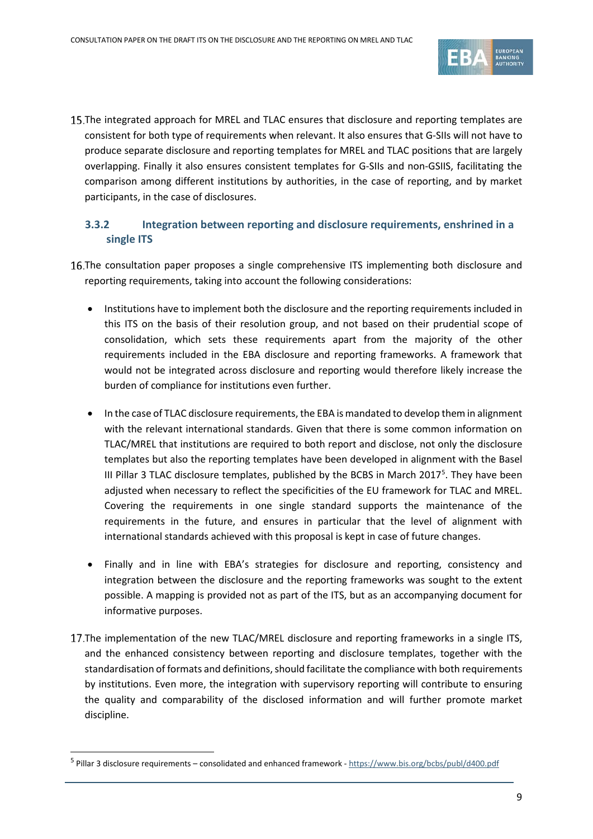

15. The integrated approach for MREL and TLAC ensures that disclosure and reporting templates are consistent for both type of requirements when relevant. It also ensures that G-SIIs will not have to produce separate disclosure and reporting templates for MREL and TLAC positions that are largely overlapping. Finally it also ensures consistent templates for G-SIIs and non-GSIIS, facilitating the comparison among different institutions by authorities, in the case of reporting, and by market participants, in the case of disclosures.

# **3.3.2 Integration between reporting and disclosure requirements, enshrined in a single ITS**

- 16. The consultation paper proposes a single comprehensive ITS implementing both disclosure and reporting requirements, taking into account the following considerations:
	- Institutions have to implement both the disclosure and the reporting requirements included in this ITS on the basis of their resolution group, and not based on their prudential scope of consolidation, which sets these requirements apart from the majority of the other requirements included in the EBA disclosure and reporting frameworks. A framework that would not be integrated across disclosure and reporting would therefore likely increase the burden of compliance for institutions even further.
	- In the case of TLAC disclosure requirements, the EBA is mandated to develop them in alignment with the relevant international standards. Given that there is some common information on TLAC/MREL that institutions are required to both report and disclose, not only the disclosure templates but also the reporting templates have been developed in alignment with the Basel III Pillar 3 TLAC disclosure templates, published by the BCBS in March 2017<sup>[5](#page-8-0)</sup>. They have been adjusted when necessary to reflect the specificities of the EU framework for TLAC and MREL. Covering the requirements in one single standard supports the maintenance of the requirements in the future, and ensures in particular that the level of alignment with international standards achieved with this proposal is kept in case of future changes.
	- Finally and in line with EBA's strategies for disclosure and reporting, consistency and integration between the disclosure and the reporting frameworks was sought to the extent possible. A mapping is provided not as part of the ITS, but as an accompanying document for informative purposes.
- 17. The implementation of the new TLAC/MREL disclosure and reporting frameworks in a single ITS, and the enhanced consistency between reporting and disclosure templates, together with the standardisation of formats and definitions, should facilitate the compliance with both requirements by institutions. Even more, the integration with supervisory reporting will contribute to ensuring the quality and comparability of the disclosed information and will further promote market discipline.

.

<span id="page-8-0"></span><sup>5</sup> Pillar 3 disclosure requirements – consolidated and enhanced framework - <https://www.bis.org/bcbs/publ/d400.pdf>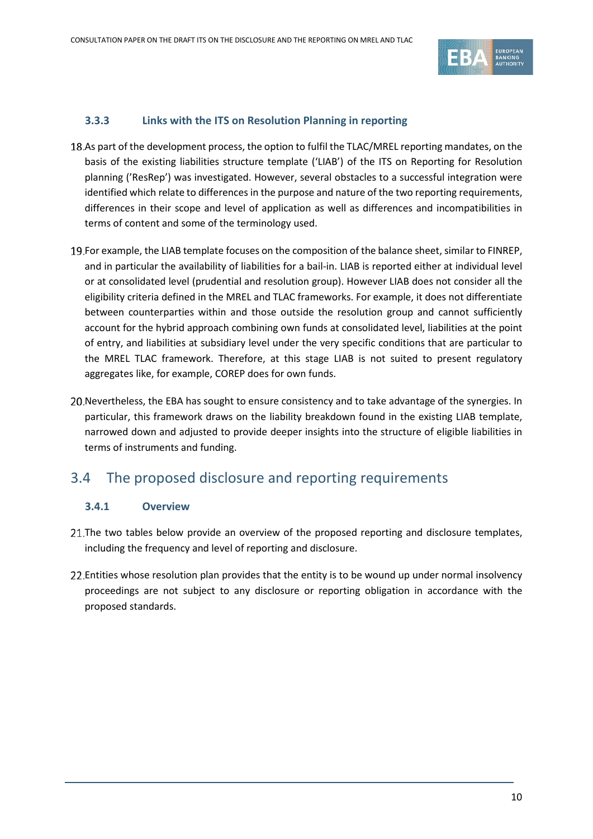

#### **3.3.3 Links with the ITS on Resolution Planning in reporting**

- 18.As part of the development process, the option to fulfil the TLAC/MREL reporting mandates, on the basis of the existing liabilities structure template ('LIAB') of the ITS on Reporting for Resolution planning ('ResRep') was investigated. However, several obstacles to a successful integration were identified which relate to differences in the purpose and nature of the two reporting requirements, differences in their scope and level of application as well as differences and incompatibilities in terms of content and some of the terminology used.
- 19. For example, the LIAB template focuses on the composition of the balance sheet, similar to FINREP, and in particular the availability of liabilities for a bail-in. LIAB is reported either at individual level or at consolidated level (prudential and resolution group). However LIAB does not consider all the eligibility criteria defined in the MREL and TLAC frameworks. For example, it does not differentiate between counterparties within and those outside the resolution group and cannot sufficiently account for the hybrid approach combining own funds at consolidated level, liabilities at the point of entry, and liabilities at subsidiary level under the very specific conditions that are particular to the MREL TLAC framework. Therefore, at this stage LIAB is not suited to present regulatory aggregates like, for example, COREP does for own funds.
- 20. Nevertheless, the EBA has sought to ensure consistency and to take advantage of the synergies. In particular, this framework draws on the liability breakdown found in the existing LIAB template, narrowed down and adjusted to provide deeper insights into the structure of eligible liabilities in terms of instruments and funding.

# 3.4 The proposed disclosure and reporting requirements

#### **3.4.1 Overview**

- 21. The two tables below provide an overview of the proposed reporting and disclosure templates, including the frequency and level of reporting and disclosure.
- 22. Entities whose resolution plan provides that the entity is to be wound up under normal insolvency proceedings are not subject to any disclosure or reporting obligation in accordance with the proposed standards.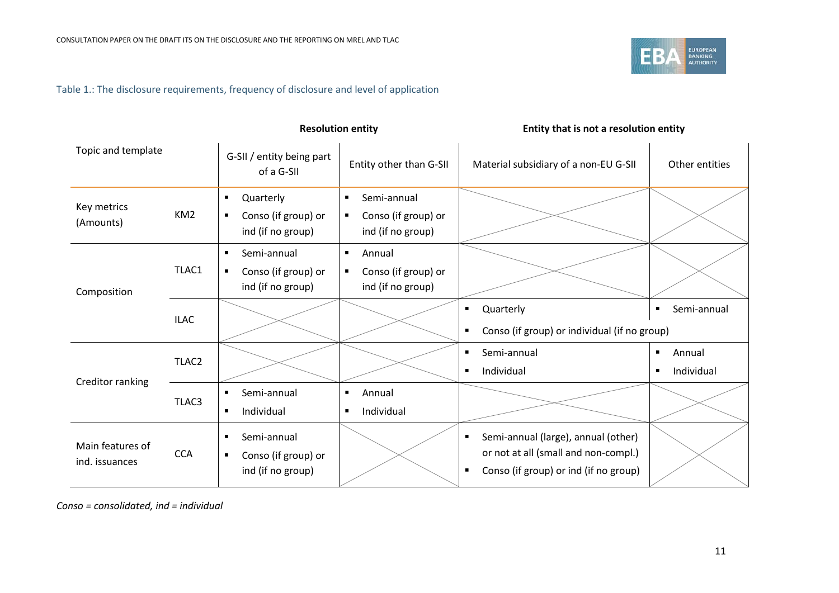

# Table 1.: The disclosure requirements, frequency of disclosure and level of application

|                                    |                   | <b>Resolution entity</b>                                                       |                                                                                             | Entity that is not a resolution entity                                                                                                      |                                                          |  |
|------------------------------------|-------------------|--------------------------------------------------------------------------------|---------------------------------------------------------------------------------------------|---------------------------------------------------------------------------------------------------------------------------------------------|----------------------------------------------------------|--|
| Topic and template                 |                   | G-SII / entity being part<br>of a G-SII                                        | Entity other than G-SII                                                                     | Material subsidiary of a non-EU G-SII                                                                                                       | Other entities                                           |  |
| Key metrics<br>(Amounts)           | KM <sub>2</sub>   | Quarterly<br>$\blacksquare$<br>Conso (if group) or<br>٠<br>ind (if no group)   | Semi-annual<br>$\blacksquare$<br>Conso (if group) or<br>$\blacksquare$<br>ind (if no group) |                                                                                                                                             |                                                          |  |
| Composition                        | TLAC1             | Semi-annual<br>٠<br>Conso (if group) or<br>$\blacksquare$<br>ind (if no group) | Annual<br>$\blacksquare$<br>Conso (if group) or<br>$\blacksquare$<br>ind (if no group)      |                                                                                                                                             |                                                          |  |
|                                    | <b>ILAC</b>       |                                                                                |                                                                                             | Quarterly<br>٠<br>Conso (if group) or individual (if no group)<br>$\blacksquare$                                                            | Semi-annual<br>$\blacksquare$                            |  |
| Creditor ranking                   | TLAC <sub>2</sub> |                                                                                |                                                                                             | Semi-annual<br>٠<br>Individual<br>$\blacksquare$                                                                                            | Annual<br>$\blacksquare$<br>Individual<br>$\blacksquare$ |  |
|                                    | TLAC3             | Semi-annual<br>$\blacksquare$<br>Individual<br>$\blacksquare$                  | Annual<br>$\blacksquare$<br>Individual<br>$\blacksquare$                                    |                                                                                                                                             |                                                          |  |
| Main features of<br>ind. issuances | <b>CCA</b>        | Semi-annual<br>٠<br>Conso (if group) or<br>٠<br>ind (if no group)              |                                                                                             | Semi-annual (large), annual (other)<br>٠<br>or not at all (small and non-compl.)<br>Conso (if group) or ind (if no group)<br>$\blacksquare$ |                                                          |  |

*Conso = consolidated, ind = individual*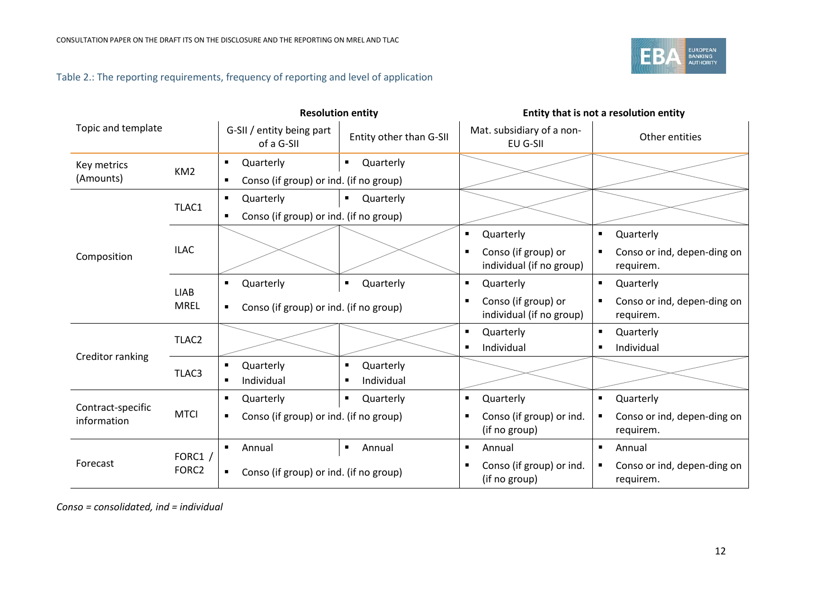

# Table 2.: The reporting requirements, frequency of reporting and level of application

|                                  |                              | <b>Resolution entity</b>                                                                     |                                   | Entity that is not a resolution entity                                              |                                                                                           |  |
|----------------------------------|------------------------------|----------------------------------------------------------------------------------------------|-----------------------------------|-------------------------------------------------------------------------------------|-------------------------------------------------------------------------------------------|--|
| Topic and template               |                              | G-SII / entity being part<br>of a G-SII                                                      | Entity other than G-SII           | Mat. subsidiary of a non-<br>EU G-SII                                               | Other entities                                                                            |  |
| Key metrics<br>(Amounts)         | KM <sub>2</sub>              | Quarterly<br>٠<br>Conso (if group) or ind. (if no group)<br>٠                                | Quarterly<br>$\blacksquare$       |                                                                                     |                                                                                           |  |
|                                  | TLAC1                        | Quarterly<br>٠<br>Conso (if group) or ind. (if no group)<br>$\blacksquare$                   | Quarterly<br>$\blacksquare$       |                                                                                     |                                                                                           |  |
| Composition                      | <b>ILAC</b>                  |                                                                                              |                                   | Quarterly<br>٠<br>Conso (if group) or<br>individual (if no group)                   | Quarterly<br>$\blacksquare$<br>Conso or ind, depen-ding on<br>$\blacksquare$<br>requirem. |  |
|                                  | <b>LIAB</b><br><b>MREL</b>   | Quarterly<br>Quarterly<br>$\blacksquare$<br>٠<br>Conso (if group) or ind. (if no group)<br>٠ |                                   | Quarterly<br>٠<br>Conso (if group) or<br>$\blacksquare$<br>individual (if no group) | Quarterly<br>$\blacksquare$<br>Conso or ind, depen-ding on<br>$\blacksquare$<br>requirem. |  |
| Creditor ranking                 | TLAC <sub>2</sub>            |                                                                                              |                                   | Quarterly<br>Individual                                                             | Quarterly<br>П<br>Individual<br>п                                                         |  |
|                                  | TLAC3                        | Quarterly<br>٠<br>Individual<br>$\blacksquare$                                               | Quarterly<br>п<br>Individual<br>п |                                                                                     |                                                                                           |  |
| Contract-specific<br>information | <b>MTCI</b>                  | Quarterly<br>٠<br>Conso (if group) or ind. (if no group)<br>$\blacksquare$                   | Quarterly<br>٠                    | Quarterly<br>$\blacksquare$<br>Conso (if group) or ind.<br>(if no group)            | Quarterly<br>٠<br>Conso or ind, depen-ding on<br>$\blacksquare$<br>requirem.              |  |
| Forecast                         | FORC1 /<br>FORC <sub>2</sub> | Annual<br>٠<br>Conso (if group) or ind. (if no group)<br>٠                                   | Annual<br>٠                       | Annual<br>$\blacksquare$<br>Conso (if group) or ind.<br>п<br>(if no group)          | Annual<br>$\blacksquare$<br>Conso or ind, depen-ding on<br>п<br>requirem.                 |  |

*Conso = consolidated, ind = individual*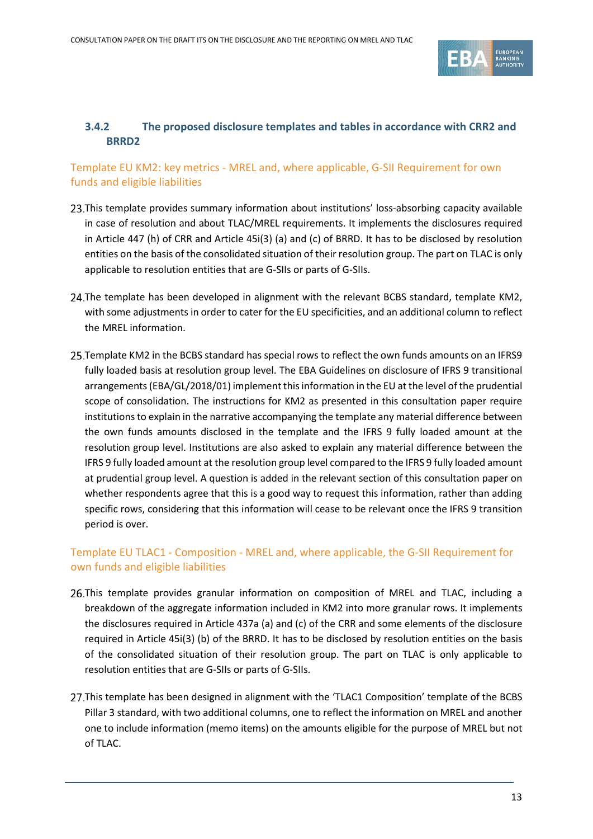

## **3.4.2 The proposed disclosure templates and tables in accordance with CRR2 and BRRD2**

## Template EU KM2: key metrics - MREL and, where applicable, G-SII Requirement for own funds and eligible liabilities

- 23. This template provides summary information about institutions' loss-absorbing capacity available in case of resolution and about TLAC/MREL requirements. It implements the disclosures required in Article 447 (h) of CRR and Article 45i(3) (a) and (c) of BRRD. It has to be disclosed by resolution entities on the basis of the consolidated situation of their resolution group. The part on TLAC is only applicable to resolution entities that are G-SIIs or parts of G-SIIs.
- 24. The template has been developed in alignment with the relevant BCBS standard, template KM2, with some adjustments in order to cater for the EU specificities, and an additional column to reflect the MREL information.
- Template KM2 in the BCBS standard has special rows to reflect the own funds amounts on an IFRS9 fully loaded basis at resolution group level. The EBA Guidelines on disclosure of IFRS 9 transitional arrangements(EBA/GL/2018/01) implement this information in the EU at the level of the prudential scope of consolidation. The instructions for KM2 as presented in this consultation paper require institutions to explain in the narrative accompanying the template any material difference between the own funds amounts disclosed in the template and the IFRS 9 fully loaded amount at the resolution group level. Institutions are also asked to explain any material difference between the IFRS 9 fully loaded amount at the resolution group level compared to the IFRS 9 fully loaded amount at prudential group level. A question is added in the relevant section of this consultation paper on whether respondents agree that this is a good way to request this information, rather than adding specific rows, considering that this information will cease to be relevant once the IFRS 9 transition period is over.

## Template EU TLAC1 - Composition - MREL and, where applicable, the G-SII Requirement for own funds and eligible liabilities

- 26. This template provides granular information on composition of MREL and TLAC, including a breakdown of the aggregate information included in KM2 into more granular rows. It implements the disclosures required in Article 437a (a) and (c) of the CRR and some elements of the disclosure required in Article 45i(3) (b) of the BRRD. It has to be disclosed by resolution entities on the basis of the consolidated situation of their resolution group. The part on TLAC is only applicable to resolution entities that are G-SIIs or parts of G-SIIs.
- 27. This template has been designed in alignment with the 'TLAC1 Composition' template of the BCBS Pillar 3 standard, with two additional columns, one to reflect the information on MREL and another one to include information (memo items) on the amounts eligible for the purpose of MREL but not of TLAC.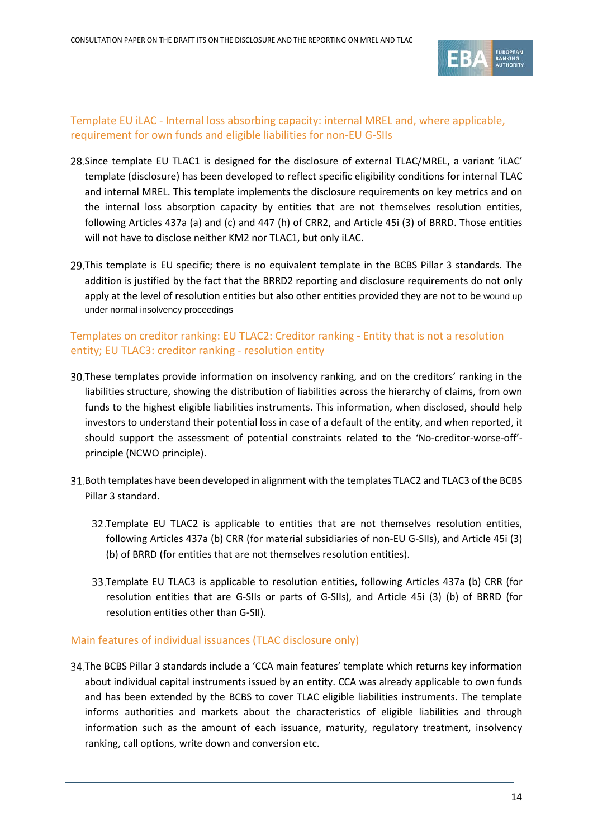

#### Template EU iLAC - Internal loss absorbing capacity: internal MREL and, where applicable, requirement for own funds and eligible liabilities for non-EU G-SIIs

- 28. Since template EU TLAC1 is designed for the disclosure of external TLAC/MREL, a variant 'iLAC' template (disclosure) has been developed to reflect specific eligibility conditions for internal TLAC and internal MREL. This template implements the disclosure requirements on key metrics and on the internal loss absorption capacity by entities that are not themselves resolution entities, following Articles 437a (a) and (c) and 447 (h) of CRR2, and Article 45i (3) of BRRD. Those entities will not have to disclose neither KM2 nor TLAC1, but only iLAC.
- 29. This template is EU specific; there is no equivalent template in the BCBS Pillar 3 standards. The addition is justified by the fact that the BRRD2 reporting and disclosure requirements do not only apply at the level of resolution entities but also other entities provided they are not to be wound up under normal insolvency proceedings

#### Templates on creditor ranking: EU TLAC2: Creditor ranking - Entity that is not a resolution entity; EU TLAC3: creditor ranking - resolution entity

- These templates provide information on insolvency ranking, and on the creditors' ranking in the liabilities structure, showing the distribution of liabilities across the hierarchy of claims, from own funds to the highest eligible liabilities instruments. This information, when disclosed, should help investors to understand their potential loss in case of a default of the entity, and when reported, it should support the assessment of potential constraints related to the 'No-creditor-worse-off' principle (NCWO principle).
- Both templates have been developed in alignment with the templates TLAC2 and TLAC3 of the BCBS Pillar 3 standard.
	- Template EU TLAC2 is applicable to entities that are not themselves resolution entities, following Articles 437a (b) CRR (for material subsidiaries of non-EU G-SIIs), and Article 45i (3) (b) of BRRD (for entities that are not themselves resolution entities).
	- Template EU TLAC3 is applicable to resolution entities, following Articles 437a (b) CRR (for resolution entities that are G-SIIs or parts of G-SIIs), and Article 45i (3) (b) of BRRD (for resolution entities other than G-SII).

#### Main features of individual issuances (TLAC disclosure only)

34. The BCBS Pillar 3 standards include a 'CCA main features' template which returns key information about individual capital instruments issued by an entity. CCA was already applicable to own funds and has been extended by the BCBS to cover TLAC eligible liabilities instruments. The template informs authorities and markets about the characteristics of eligible liabilities and through information such as the amount of each issuance, maturity, regulatory treatment, insolvency ranking, call options, write down and conversion etc.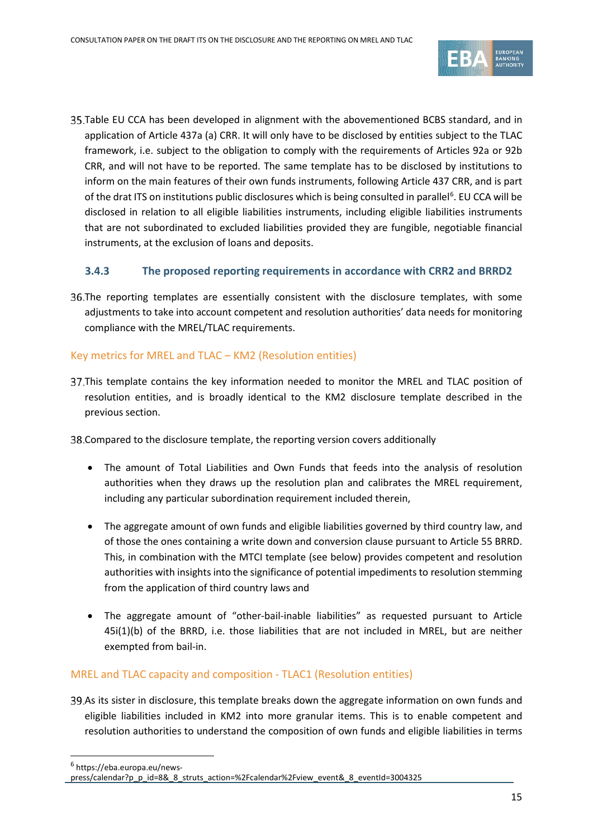

35. Table EU CCA has been developed in alignment with the abovementioned BCBS standard, and in application of Article 437a (a) CRR. It will only have to be disclosed by entities subject to the TLAC framework, i.e. subject to the obligation to comply with the requirements of Articles 92a or 92b CRR, and will not have to be reported. The same template has to be disclosed by institutions to inform on the main features of their own funds instruments, following Article 437 CRR, and is part of the drat ITS on institutions public disclosures which is being consulted in parallel<sup>[6](#page-14-0)</sup>. EU CCA will be disclosed in relation to all eligible liabilities instruments, including eligible liabilities instruments that are not subordinated to excluded liabilities provided they are fungible, negotiable financial instruments, at the exclusion of loans and deposits.

#### **3.4.3 The proposed reporting requirements in accordance with CRR2 and BRRD2**

36. The reporting templates are essentially consistent with the disclosure templates, with some adjustments to take into account competent and resolution authorities' data needs for monitoring compliance with the MREL/TLAC requirements.

#### Key metrics for MREL and TLAC – KM2 (Resolution entities)

37. This template contains the key information needed to monitor the MREL and TLAC position of resolution entities, and is broadly identical to the KM2 disclosure template described in the previous section.

Compared to the disclosure template, the reporting version covers additionally

- The amount of Total Liabilities and Own Funds that feeds into the analysis of resolution authorities when they draws up the resolution plan and calibrates the MREL requirement, including any particular subordination requirement included therein,
- The aggregate amount of own funds and eligible liabilities governed by third country law, and of those the ones containing a write down and conversion clause pursuant to Article 55 BRRD. This, in combination with the MTCI template (see below) provides competent and resolution authorities with insights into the significance of potential impediments to resolution stemming from the application of third country laws and
- The aggregate amount of "other-bail-inable liabilities" as requested pursuant to Article 45i(1)(b) of the BRRD, i.e. those liabilities that are not included in MREL, but are neither exempted from bail-in.

#### MREL and TLAC capacity and composition - TLAC1 (Resolution entities)

39.As its sister in disclosure, this template breaks down the aggregate information on own funds and eligible liabilities included in KM2 into more granular items. This is to enable competent and resolution authorities to understand the composition of own funds and eligible liabilities in terms

.

<span id="page-14-0"></span><sup>6</sup> https://eba.europa.eu/news-

press/calendar?p\_p\_id=8&\_8\_struts\_action=%2Fcalendar%2Fview\_event&\_8\_eventId=3004325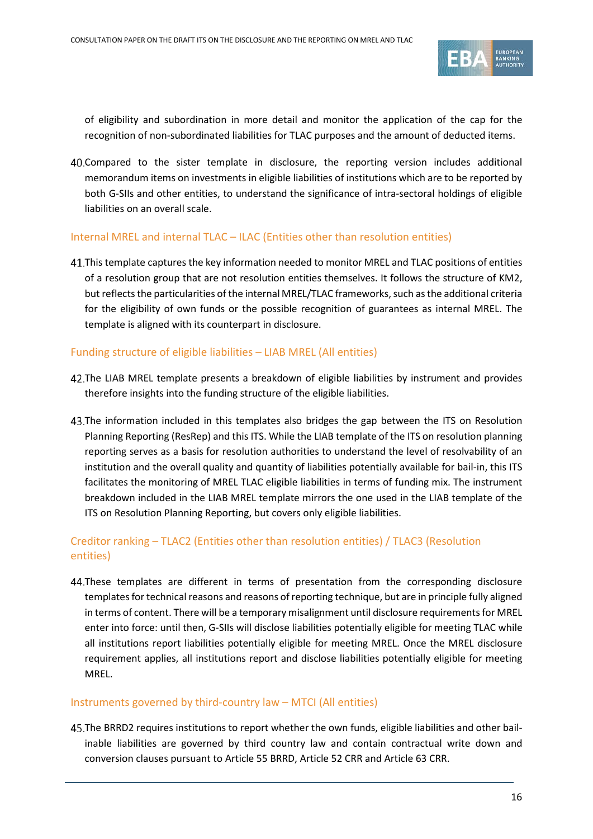

of eligibility and subordination in more detail and monitor the application of the cap for the recognition of non-subordinated liabilities for TLAC purposes and the amount of deducted items.

Compared to the sister template in disclosure, the reporting version includes additional memorandum items on investments in eligible liabilities of institutions which are to be reported by both G-SIIs and other entities, to understand the significance of intra-sectoral holdings of eligible liabilities on an overall scale.

#### Internal MREL and internal TLAC – ILAC (Entities other than resolution entities)

This template captures the key information needed to monitor MREL and TLAC positions of entities of a resolution group that are not resolution entities themselves. It follows the structure of KM2, but reflects the particularities of the internal MREL/TLAC frameworks, such as the additional criteria for the eligibility of own funds or the possible recognition of guarantees as internal MREL. The template is aligned with its counterpart in disclosure.

#### Funding structure of eligible liabilities – LIAB MREL (All entities)

- 42. The LIAB MREL template presents a breakdown of eligible liabilities by instrument and provides therefore insights into the funding structure of the eligible liabilities.
- 43. The information included in this templates also bridges the gap between the ITS on Resolution Planning Reporting (ResRep) and this ITS. While the LIAB template of the ITS on resolution planning reporting serves as a basis for resolution authorities to understand the level of resolvability of an institution and the overall quality and quantity of liabilities potentially available for bail-in, this ITS facilitates the monitoring of MREL TLAC eligible liabilities in terms of funding mix. The instrument breakdown included in the LIAB MREL template mirrors the one used in the LIAB template of the ITS on Resolution Planning Reporting, but covers only eligible liabilities.

## Creditor ranking – TLAC2 (Entities other than resolution entities) / TLAC3 (Resolution entities)

These templates are different in terms of presentation from the corresponding disclosure templates for technical reasons and reasons of reporting technique, but are in principle fully aligned in terms of content. There will be a temporary misalignment until disclosure requirements for MREL enter into force: until then, G-SIIs will disclose liabilities potentially eligible for meeting TLAC while all institutions report liabilities potentially eligible for meeting MREL. Once the MREL disclosure requirement applies, all institutions report and disclose liabilities potentially eligible for meeting MREL.

#### Instruments governed by third-country law – MTCI (All entities)

The BRRD2 requires institutions to report whether the own funds, eligible liabilities and other bailinable liabilities are governed by third country law and contain contractual write down and conversion clauses pursuant to Article 55 BRRD, Article 52 CRR and Article 63 CRR.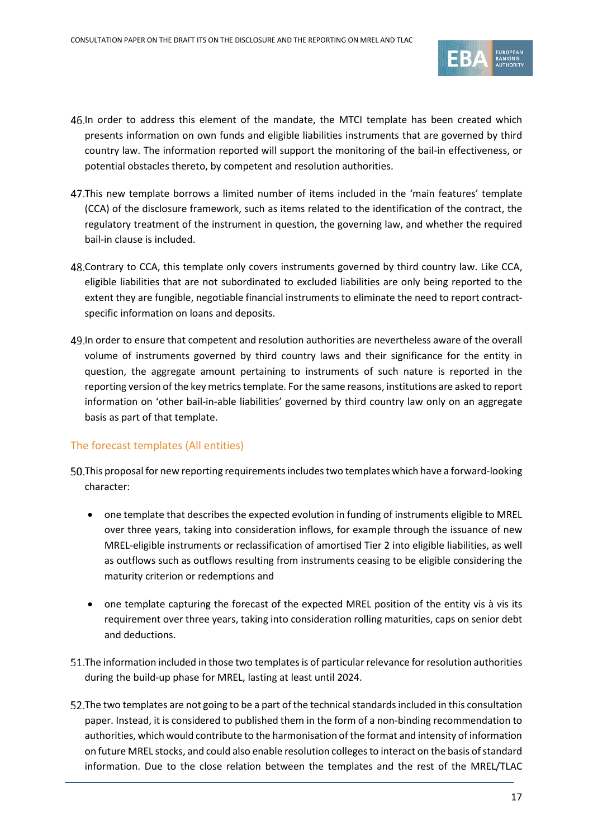

- In order to address this element of the mandate, the MTCI template has been created which presents information on own funds and eligible liabilities instruments that are governed by third country law. The information reported will support the monitoring of the bail-in effectiveness, or potential obstacles thereto, by competent and resolution authorities.
- This new template borrows a limited number of items included in the 'main features' template (CCA) of the disclosure framework, such as items related to the identification of the contract, the regulatory treatment of the instrument in question, the governing law, and whether the required bail-in clause is included.
- 48. Contrary to CCA, this template only covers instruments governed by third country law. Like CCA, eligible liabilities that are not subordinated to excluded liabilities are only being reported to the extent they are fungible, negotiable financial instruments to eliminate the need to report contractspecific information on loans and deposits.
- In order to ensure that competent and resolution authorities are nevertheless aware of the overall volume of instruments governed by third country laws and their significance for the entity in question, the aggregate amount pertaining to instruments of such nature is reported in the reporting version of the key metrics template. For the same reasons, institutions are asked to report information on 'other bail-in-able liabilities' governed by third country law only on an aggregate basis as part of that template.

#### The forecast templates (All entities)

- This proposal for new reporting requirements includes two templates which have a forward-looking character:
	- one template that describes the expected evolution in funding of instruments eligible to MREL over three years, taking into consideration inflows, for example through the issuance of new MREL-eligible instruments or reclassification of amortised Tier 2 into eligible liabilities, as well as outflows such as outflows resulting from instruments ceasing to be eligible considering the maturity criterion or redemptions and
	- one template capturing the forecast of the expected MREL position of the entity vis à vis its requirement over three years, taking into consideration rolling maturities, caps on senior debt and deductions.
- The information included in those two templates is of particular relevance for resolution authorities during the build-up phase for MREL, lasting at least until 2024.
- The two templates are not going to be a part of the technical standards included in this consultation paper. Instead, it is considered to published them in the form of a non-binding recommendation to authorities, which would contribute to the harmonisation of the format and intensity of information on future MREL stocks, and could also enable resolution colleges to interact on the basis of standard information. Due to the close relation between the templates and the rest of the MREL/TLAC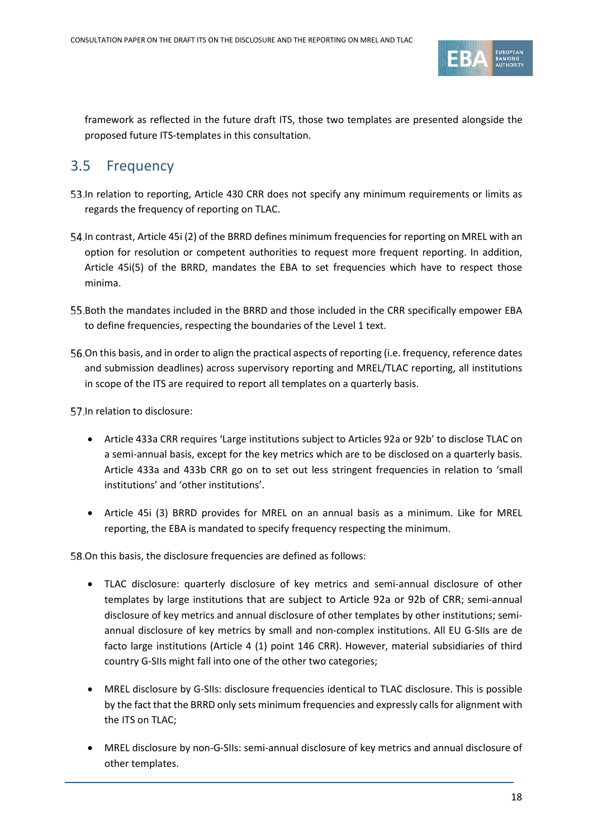

framework as reflected in the future draft ITS, those two templates are presented alongside the proposed future ITS-templates in this consultation.

# 3.5 Frequency

- 53. In relation to reporting, Article 430 CRR does not specify any minimum requirements or limits as regards the frequency of reporting on TLAC.
- In contrast, Article 45i (2) of the BRRD defines minimum frequencies for reporting on MREL with an option for resolution or competent authorities to request more frequent reporting. In addition, Article 45i(5) of the BRRD, mandates the EBA to set frequencies which have to respect those minima.
- 55. Both the mandates included in the BRRD and those included in the CRR specifically empower EBA to define frequencies, respecting the boundaries of the Level 1 text.
- 56. On this basis, and in order to align the practical aspects of reporting (i.e. frequency, reference dates and submission deadlines) across supervisory reporting and MREL/TLAC reporting, all institutions in scope of the ITS are required to report all templates on a quarterly basis.

57. In relation to disclosure:

- Article 433a CRR requires 'Large institutions subject to Articles 92a or 92b' to disclose TLAC on a semi-annual basis, except for the key metrics which are to be disclosed on a quarterly basis. Article 433a and 433b CRR go on to set out less stringent frequencies in relation to 'small institutions' and 'other institutions'.
- Article 45i (3) BRRD provides for MREL on an annual basis as a minimum. Like for MREL reporting, the EBA is mandated to specify frequency respecting the minimum.

58. On this basis, the disclosure frequencies are defined as follows:

- TLAC disclosure: quarterly disclosure of key metrics and semi-annual disclosure of other templates by large institutions that are subject to Article 92a or 92b of CRR; semi-annual disclosure of key metrics and annual disclosure of other templates by other institutions; semiannual disclosure of key metrics by small and non-complex institutions. All EU G-SIIs are de facto large institutions (Article 4 (1) point 146 CRR). However, material subsidiaries of third country G-SIIs might fall into one of the other two categories;
- MREL disclosure by G-SIIs: disclosure frequencies identical to TLAC disclosure. This is possible by the fact that the BRRD only sets minimum frequencies and expressly calls for alignment with the ITS on TLAC;
- MREL disclosure by non-G-SIIs: semi-annual disclosure of key metrics and annual disclosure of other templates.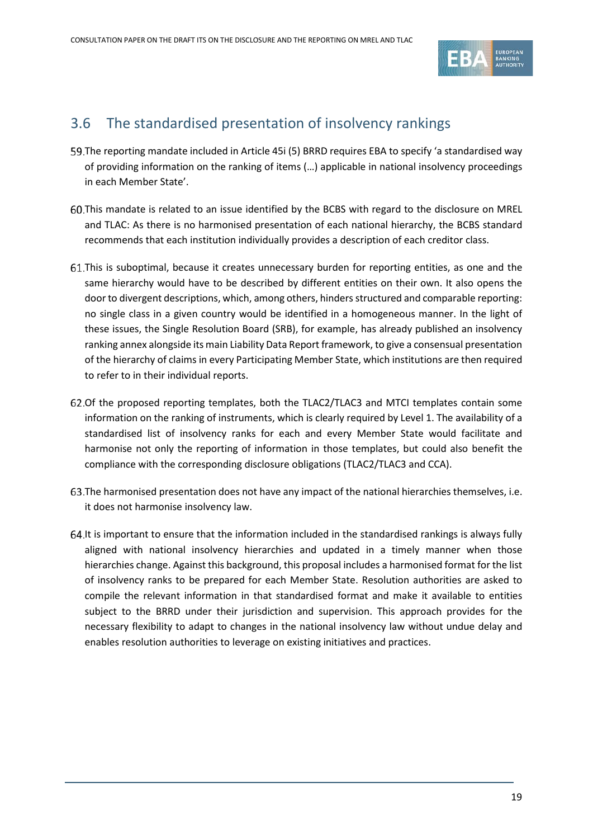

# 3.6 The standardised presentation of insolvency rankings

- The reporting mandate included in Article 45i (5) BRRD requires EBA to specify 'a standardised way of providing information on the ranking of items (…) applicable in national insolvency proceedings in each Member State'.
- This mandate is related to an issue identified by the BCBS with regard to the disclosure on MREL and TLAC: As there is no harmonised presentation of each national hierarchy, the BCBS standard recommends that each institution individually provides a description of each creditor class.
- This is suboptimal, because it creates unnecessary burden for reporting entities, as one and the same hierarchy would have to be described by different entities on their own. It also opens the door to divergent descriptions, which, among others, hinders structured and comparable reporting: no single class in a given country would be identified in a homogeneous manner. In the light of these issues, the Single Resolution Board (SRB), for example, has already published an insolvency ranking annex alongside its main Liability Data Report framework, to give a consensual presentation of the hierarchy of claims in every Participating Member State, which institutions are then required to refer to in their individual reports.
- 62. Of the proposed reporting templates, both the TLAC2/TLAC3 and MTCI templates contain some information on the ranking of instruments, which is clearly required by Level 1. The availability of a standardised list of insolvency ranks for each and every Member State would facilitate and harmonise not only the reporting of information in those templates, but could also benefit the compliance with the corresponding disclosure obligations (TLAC2/TLAC3 and CCA).
- The harmonised presentation does not have any impact of the national hierarchies themselves, i.e. it does not harmonise insolvency law.
- 64. It is important to ensure that the information included in the standardised rankings is always fully aligned with national insolvency hierarchies and updated in a timely manner when those hierarchies change. Against this background, this proposal includes a harmonised format for the list of insolvency ranks to be prepared for each Member State. Resolution authorities are asked to compile the relevant information in that standardised format and make it available to entities subject to the BRRD under their jurisdiction and supervision. This approach provides for the necessary flexibility to adapt to changes in the national insolvency law without undue delay and enables resolution authorities to leverage on existing initiatives and practices.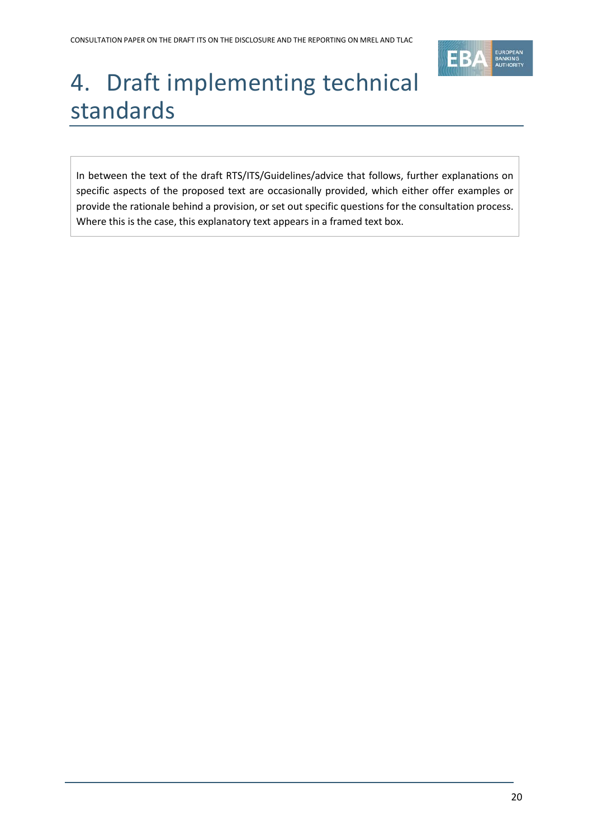

# <span id="page-19-0"></span>4. Draft implementing technical standards

In between the text of the draft RTS/ITS/Guidelines/advice that follows, further explanations on specific aspects of the proposed text are occasionally provided, which either offer examples or provide the rationale behind a provision, or set out specific questions for the consultation process. Where this is the case, this explanatory text appears in a framed text box.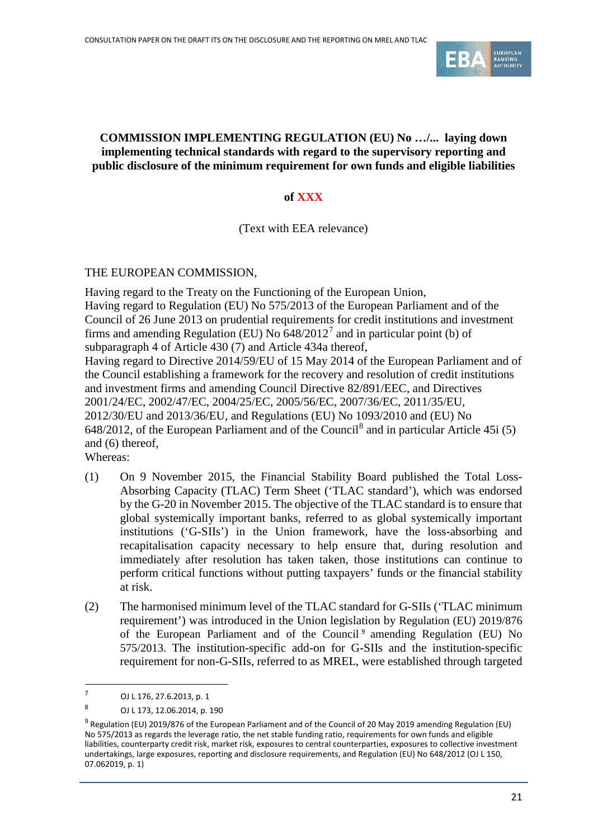

#### **COMMISSION IMPLEMENTING REGULATION (EU) No …/... laying down implementing technical standards with regard to the supervisory reporting and public disclosure of the minimum requirement for own funds and eligible liabilities**

#### **of XXX**

(Text with EEA relevance)

THE EUROPEAN COMMISSION,

Having regard to the Treaty on the Functioning of the European Union, Having regard to Regulation (EU) No 575/2013 of the European Parliament and of the Council of 26 June 2013 on prudential requirements for credit institutions and investment firms and amending Regulation (EU) No  $648/2012<sup>7</sup>$  $648/2012<sup>7</sup>$  $648/2012<sup>7</sup>$  and in particular point (b) of subparagraph 4 of Article 430 (7) and Article 434a thereof, Having regard to Directive 2014/59/EU of 15 May 2014 of the European Parliament and of the Council establishing a framework for the recovery and resolution of credit institutions and investment firms and amending Council Directive 82/891/EEC, and Directives 2001/24/EC, 2002/47/EC, 2004/25/EC, 2005/56/EC, 2007/36/EC, 2011/35/EU, 2012/30/EU and 2013/36/EU, and Regulations (EU) No 1093/2010 and (EU) No 64[8](#page-20-1)/2012, of the European Parliament and of the Council<sup>8</sup> and in particular Article 45i (5) and (6) thereof,

Whereas:

- (1) On 9 November 2015, the Financial Stability Board published the Total Loss-Absorbing Capacity (TLAC) Term Sheet ('TLAC standard'), which was endorsed by the G-20 in November 2015. The objective of the TLAC standard is to ensure that global systemically important banks, referred to as global systemically important institutions ('G-SIIs') in the Union framework, have the loss-absorbing and recapitalisation capacity necessary to help ensure that, during resolution and immediately after resolution has taken taken, those institutions can continue to perform critical functions without putting taxpayers' funds or the financial stability at risk.
- (2) The harmonised minimum level of the TLAC standard for G-SIIs ('TLAC minimum requirement') was introduced in the Union legislation by Regulation (EU) 2019/876 of the European Parliament and of the Council<sup>[9](#page-20-2)</sup> amending Regulation (EU) No 575/2013. The institution-specific add-on for G-SIIs and the institution-specific requirement for non-G-SIIs, referred to as MREL, were established through targeted

<span id="page-20-0"></span><sup>7</sup> OJ L 176, 27.6.2013, p. 1

<span id="page-20-1"></span><sup>8</sup> OJ L 173, 12.06.2014, p. 190

<span id="page-20-2"></span> $9$  Regulation (EU) 2019/876 of the European Parliament and of the Council of 20 May 2019 amending Regulation (EU) No 575/2013 as regards the leverage ratio, the net stable funding ratio, requirements for own funds and eligible liabilities, counterparty credit risk, market risk, exposures to central counterparties, exposures to collective investment undertakings, large exposures, reporting and disclosure requirements, and Regulation (EU) No 648/2012 (OJ L 150, 07.062019, p. 1)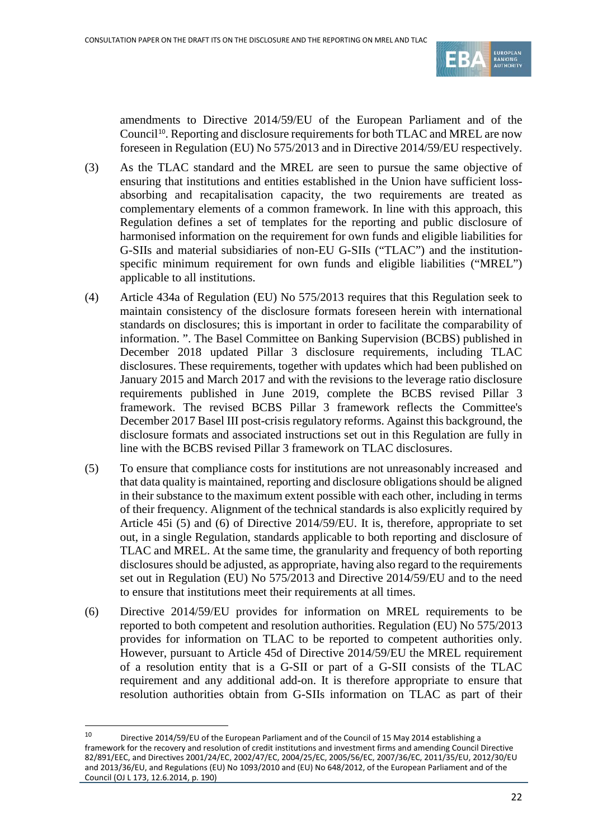

amendments to Directive 2014/59/EU of the European Parliament and of the Council<sup>[10](#page-21-0)</sup>. Reporting and disclosure requirements for both TLAC and MREL are now foreseen in Regulation (EU) No 575/2013 and in Directive 2014/59/EU respectively.

- (3) As the TLAC standard and the MREL are seen to pursue the same objective of ensuring that institutions and entities established in the Union have sufficient lossabsorbing and recapitalisation capacity, the two requirements are treated as complementary elements of a common framework. In line with this approach, this Regulation defines a set of templates for the reporting and public disclosure of harmonised information on the requirement for own funds and eligible liabilities for G-SIIs and material subsidiaries of non-EU G-SIIs ("TLAC") and the institutionspecific minimum requirement for own funds and eligible liabilities ("MREL") applicable to all institutions.
- (4) Article 434a of Regulation (EU) No 575/2013 requires that this Regulation seek to maintain consistency of the disclosure formats foreseen herein with international standards on disclosures; this is important in order to facilitate the comparability of information. ". The Basel Committee on Banking Supervision (BCBS) published in December 2018 updated Pillar 3 disclosure requirements, including TLAC disclosures. These requirements, together with updates which had been published on January 2015 and March 2017 and with the revisions to the leverage ratio disclosure requirements published in June 2019, complete the BCBS revised Pillar 3 framework. The revised BCBS Pillar 3 framework reflects the Committee's December 2017 Basel III post-crisis regulatory reforms. Against this background, the disclosure formats and associated instructions set out in this Regulation are fully in line with the BCBS revised Pillar 3 framework on TLAC disclosures.
- (5) To ensure that compliance costs for institutions are not unreasonably increased and that data quality is maintained, reporting and disclosure obligations should be aligned in their substance to the maximum extent possible with each other, including in terms of their frequency. Alignment of the technical standards is also explicitly required by Article 45i (5) and (6) of Directive 2014/59/EU. It is, therefore, appropriate to set out, in a single Regulation, standards applicable to both reporting and disclosure of TLAC and MREL. At the same time, the granularity and frequency of both reporting disclosures should be adjusted, as appropriate, having also regard to the requirements set out in Regulation (EU) No 575/2013 and Directive 2014/59/EU and to the need to ensure that institutions meet their requirements at all times.
- (6) Directive 2014/59/EU provides for information on MREL requirements to be reported to both competent and resolution authorities. Regulation (EU) No 575/2013 provides for information on TLAC to be reported to competent authorities only. However, pursuant to Article 45d of Directive 2014/59/EU the MREL requirement of a resolution entity that is a G-SII or part of a G-SII consists of the TLAC requirement and any additional add-on. It is therefore appropriate to ensure that resolution authorities obtain from G-SIIs information on TLAC as part of their

<span id="page-21-0"></span><sup>10</sup> Directive 2014/59/EU of the European Parliament and of the Council of 15 May 2014 establishing a framework for the recovery and resolution of credit institutions and investment firms and amending Council Directive 82/891/EEC, and Directives 2001/24/EC, 2002/47/EC, 2004/25/EC, 2005/56/EC, 2007/36/EC, 2011/35/EU, 2012/30/EU and 2013/36/EU, and Regulations (EU) No 1093/2010 and (EU) No 648/2012, of the European Parliament and of the Council (OJ L 173, 12.6.2014, p. 190)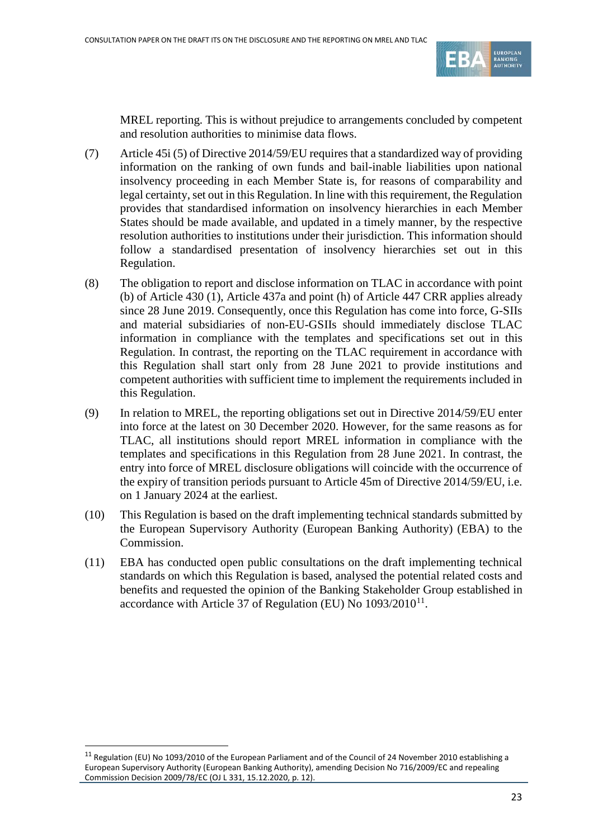

MREL reporting. This is without prejudice to arrangements concluded by competent and resolution authorities to minimise data flows.

- (7) Article 45i (5) of Directive 2014/59/EU requires that a standardized way of providing information on the ranking of own funds and bail-inable liabilities upon national insolvency proceeding in each Member State is, for reasons of comparability and legal certainty, set out in this Regulation. In line with this requirement, the Regulation provides that standardised information on insolvency hierarchies in each Member States should be made available, and updated in a timely manner, by the respective resolution authorities to institutions under their jurisdiction. This information should follow a standardised presentation of insolvency hierarchies set out in this Regulation.
- (8) The obligation to report and disclose information on TLAC in accordance with point (b) of Article 430 (1), Article 437a and point (h) of Article 447 CRR applies already since 28 June 2019. Consequently, once this Regulation has come into force, G-SIIs and material subsidiaries of non-EU-GSIIs should immediately disclose TLAC information in compliance with the templates and specifications set out in this Regulation. In contrast, the reporting on the TLAC requirement in accordance with this Regulation shall start only from 28 June 2021 to provide institutions and competent authorities with sufficient time to implement the requirements included in this Regulation.
- (9) In relation to MREL, the reporting obligations set out in Directive 2014/59/EU enter into force at the latest on 30 December 2020. However, for the same reasons as for TLAC, all institutions should report MREL information in compliance with the templates and specifications in this Regulation from 28 June 2021. In contrast, the entry into force of MREL disclosure obligations will coincide with the occurrence of the expiry of transition periods pursuant to Article 45m of Directive 2014/59/EU, i.e. on 1 January 2024 at the earliest.
- (10) This Regulation is based on the draft implementing technical standards submitted by the European Supervisory Authority (European Banking Authority) (EBA) to the Commission.
- (11) EBA has conducted open public consultations on the draft implementing technical standards on which this Regulation is based, analysed the potential related costs and benefits and requested the opinion of the Banking Stakeholder Group established in accordance with Article 37 of Regulation (EU) No  $1093/2010^{11}$  $1093/2010^{11}$  $1093/2010^{11}$ .

<span id="page-22-0"></span> $11$  Regulation (EU) No 1093/2010 of the European Parliament and of the Council of 24 November 2010 establishing a European Supervisory Authority (European Banking Authority), amending Decision No 716/2009/EC and repealing Commission Decision 2009/78/EC (OJ L 331, 15.12.2020, p. 12).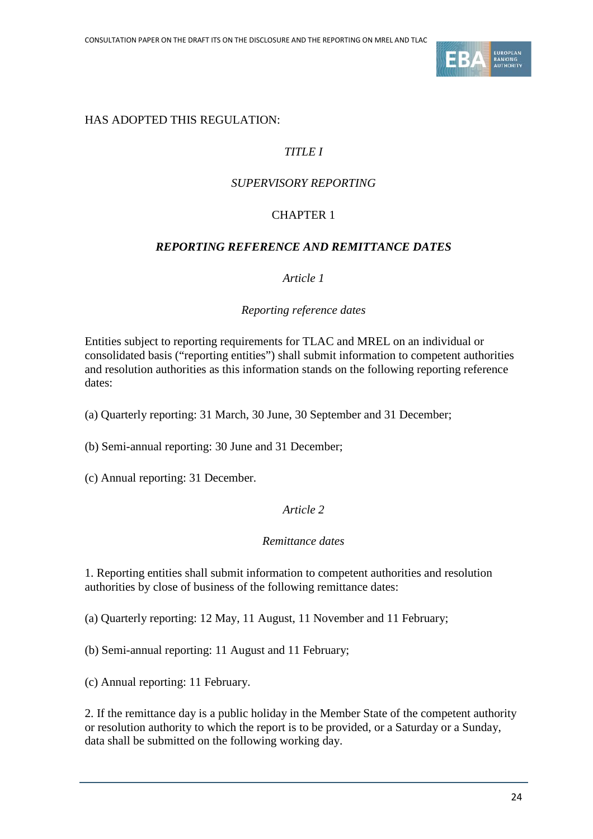

# HAS ADOPTED THIS REGULATION:

# *TITLE I*

# *SUPERVISORY REPORTING*

# CHAPTER 1

#### *REPORTING REFERENCE AND REMITTANCE DATES*

#### *Article 1*

#### *Reporting reference dates*

Entities subject to reporting requirements for TLAC and MREL on an individual or consolidated basis ("reporting entities") shall submit information to competent authorities and resolution authorities as this information stands on the following reporting reference dates:

(a) Quarterly reporting: 31 March, 30 June, 30 September and 31 December;

(b) Semi-annual reporting: 30 June and 31 December;

(c) Annual reporting: 31 December.

#### *Article 2*

#### *Remittance dates*

1. Reporting entities shall submit information to competent authorities and resolution authorities by close of business of the following remittance dates:

(a) Quarterly reporting: 12 May, 11 August, 11 November and 11 February;

(b) Semi-annual reporting: 11 August and 11 February;

(c) Annual reporting: 11 February.

2. If the remittance day is a public holiday in the Member State of the competent authority or resolution authority to which the report is to be provided, or a Saturday or a Sunday, data shall be submitted on the following working day.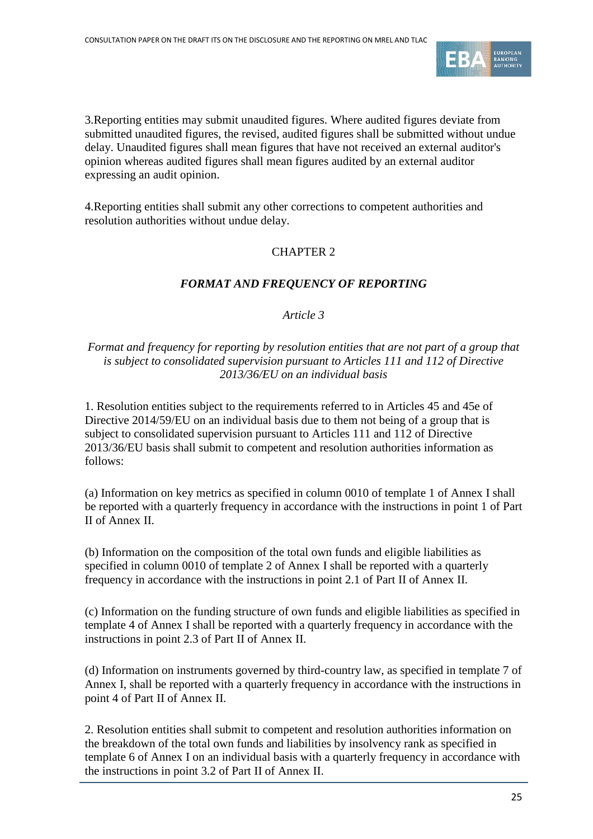

3.Reporting entities may submit unaudited figures. Where audited figures deviate from submitted unaudited figures, the revised, audited figures shall be submitted without undue delay. Unaudited figures shall mean figures that have not received an external auditor's opinion whereas audited figures shall mean figures audited by an external auditor expressing an audit opinion.

4.Reporting entities shall submit any other corrections to competent authorities and resolution authorities without undue delay.

# CHAPTER 2

# *FORMAT AND FREQUENCY OF REPORTING*

## *Article 3*

## *Format and frequency for reporting by resolution entities that are not part of a group that is subject to consolidated supervision pursuant to Articles 111 and 112 of Directive 2013/36/EU on an individual basis*

1. Resolution entities subject to the requirements referred to in Articles 45 and 45e of Directive 2014/59/EU on an individual basis due to them not being of a group that is subject to consolidated supervision pursuant to Articles 111 and 112 of Directive 2013/36/EU basis shall submit to competent and resolution authorities information as follows:

(a) Information on key metrics as specified in column 0010 of template 1 of Annex I shall be reported with a quarterly frequency in accordance with the instructions in point 1 of Part II of Annex II.

(b) Information on the composition of the total own funds and eligible liabilities as specified in column 0010 of template 2 of Annex I shall be reported with a quarterly frequency in accordance with the instructions in point 2.1 of Part II of Annex II.

(c) Information on the funding structure of own funds and eligible liabilities as specified in template 4 of Annex I shall be reported with a quarterly frequency in accordance with the instructions in point 2.3 of Part II of Annex II.

(d) Information on instruments governed by third-country law, as specified in template 7 of Annex I, shall be reported with a quarterly frequency in accordance with the instructions in point 4 of Part II of Annex II.

2. Resolution entities shall submit to competent and resolution authorities information on the breakdown of the total own funds and liabilities by insolvency rank as specified in template 6 of Annex I on an individual basis with a quarterly frequency in accordance with the instructions in point 3.2 of Part II of Annex II.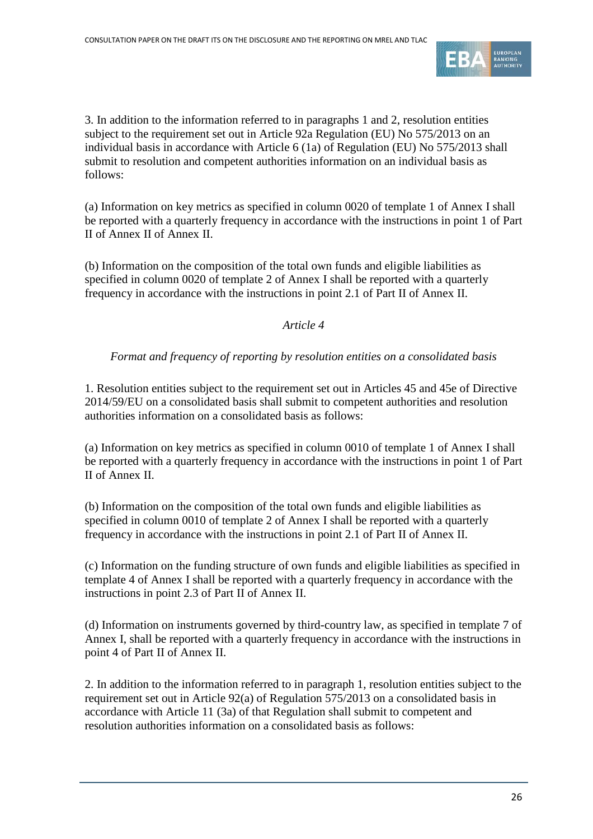

3. In addition to the information referred to in paragraphs 1 and 2, resolution entities subject to the requirement set out in Article 92a Regulation (EU) No 575/2013 on an individual basis in accordance with Article 6 (1a) of Regulation (EU) No 575/2013 shall submit to resolution and competent authorities information on an individual basis as follows:

(a) Information on key metrics as specified in column 0020 of template 1 of Annex I shall be reported with a quarterly frequency in accordance with the instructions in point 1 of Part II of Annex II of Annex II.

(b) Information on the composition of the total own funds and eligible liabilities as specified in column 0020 of template 2 of Annex I shall be reported with a quarterly frequency in accordance with the instructions in point 2.1 of Part II of Annex II.

# *Article 4*

# *Format and frequency of reporting by resolution entities on a consolidated basis*

1. Resolution entities subject to the requirement set out in Articles 45 and 45e of Directive 2014/59/EU on a consolidated basis shall submit to competent authorities and resolution authorities information on a consolidated basis as follows:

(a) Information on key metrics as specified in column 0010 of template 1 of Annex I shall be reported with a quarterly frequency in accordance with the instructions in point 1 of Part II of Annex II.

(b) Information on the composition of the total own funds and eligible liabilities as specified in column 0010 of template 2 of Annex I shall be reported with a quarterly frequency in accordance with the instructions in point 2.1 of Part II of Annex II.

(c) Information on the funding structure of own funds and eligible liabilities as specified in template 4 of Annex I shall be reported with a quarterly frequency in accordance with the instructions in point 2.3 of Part II of Annex II.

(d) Information on instruments governed by third-country law, as specified in template 7 of Annex I, shall be reported with a quarterly frequency in accordance with the instructions in point 4 of Part II of Annex II.

2. In addition to the information referred to in paragraph 1, resolution entities subject to the requirement set out in Article 92(a) of Regulation 575/2013 on a consolidated basis in accordance with Article 11 (3a) of that Regulation shall submit to competent and resolution authorities information on a consolidated basis as follows: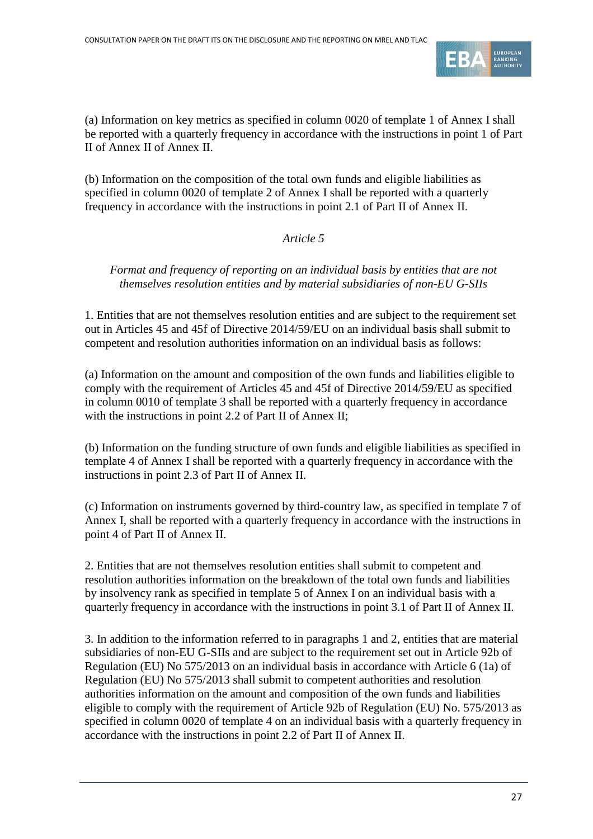

(a) Information on key metrics as specified in column 0020 of template 1 of Annex I shall be reported with a quarterly frequency in accordance with the instructions in point 1 of Part II of Annex II of Annex II.

(b) Information on the composition of the total own funds and eligible liabilities as specified in column 0020 of template 2 of Annex I shall be reported with a quarterly frequency in accordance with the instructions in point 2.1 of Part II of Annex II.

*Article 5*

*Format and frequency of reporting on an individual basis by entities that are not themselves resolution entities and by material subsidiaries of non-EU G-SIIs*

1. Entities that are not themselves resolution entities and are subject to the requirement set out in Articles 45 and 45f of Directive 2014/59/EU on an individual basis shall submit to competent and resolution authorities information on an individual basis as follows:

(a) Information on the amount and composition of the own funds and liabilities eligible to comply with the requirement of Articles 45 and 45f of Directive 2014/59/EU as specified in column 0010 of template 3 shall be reported with a quarterly frequency in accordance with the instructions in point 2.2 of Part II of Annex II;

(b) Information on the funding structure of own funds and eligible liabilities as specified in template 4 of Annex I shall be reported with a quarterly frequency in accordance with the instructions in point 2.3 of Part II of Annex II.

(c) Information on instruments governed by third-country law, as specified in template 7 of Annex I, shall be reported with a quarterly frequency in accordance with the instructions in point 4 of Part II of Annex II.

2. Entities that are not themselves resolution entities shall submit to competent and resolution authorities information on the breakdown of the total own funds and liabilities by insolvency rank as specified in template 5 of Annex I on an individual basis with a quarterly frequency in accordance with the instructions in point 3.1 of Part II of Annex II.

3. In addition to the information referred to in paragraphs 1 and 2, entities that are material subsidiaries of non-EU G-SIIs and are subject to the requirement set out in Article 92b of Regulation (EU) No 575/2013 on an individual basis in accordance with Article 6 (1a) of Regulation (EU) No 575/2013 shall submit to competent authorities and resolution authorities information on the amount and composition of the own funds and liabilities eligible to comply with the requirement of Article 92b of Regulation (EU) No. 575/2013 as specified in column 0020 of template 4 on an individual basis with a quarterly frequency in accordance with the instructions in point 2.2 of Part II of Annex II.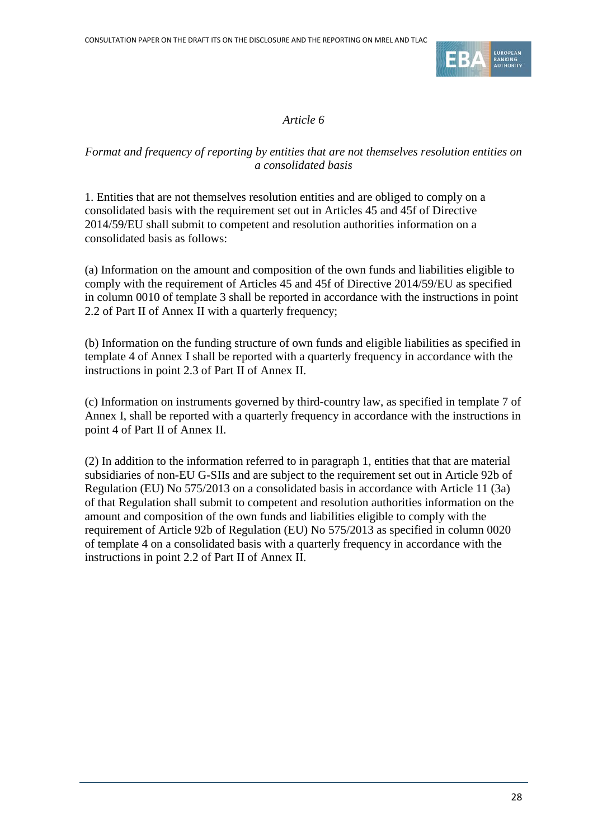

#### *Article 6*

# *Format and frequency of reporting by entities that are not themselves resolution entities on a consolidated basis*

1. Entities that are not themselves resolution entities and are obliged to comply on a consolidated basis with the requirement set out in Articles 45 and 45f of Directive 2014/59/EU shall submit to competent and resolution authorities information on a consolidated basis as follows:

(a) Information on the amount and composition of the own funds and liabilities eligible to comply with the requirement of Articles 45 and 45f of Directive 2014/59/EU as specified in column 0010 of template 3 shall be reported in accordance with the instructions in point 2.2 of Part II of Annex II with a quarterly frequency;

(b) Information on the funding structure of own funds and eligible liabilities as specified in template 4 of Annex I shall be reported with a quarterly frequency in accordance with the instructions in point 2.3 of Part II of Annex II.

(c) Information on instruments governed by third-country law, as specified in template 7 of Annex I, shall be reported with a quarterly frequency in accordance with the instructions in point 4 of Part II of Annex II.

(2) In addition to the information referred to in paragraph 1, entities that that are material subsidiaries of non-EU G-SIIs and are subject to the requirement set out in Article 92b of Regulation (EU) No 575/2013 on a consolidated basis in accordance with Article 11 (3a) of that Regulation shall submit to competent and resolution authorities information on the amount and composition of the own funds and liabilities eligible to comply with the requirement of Article 92b of Regulation (EU) No 575/2013 as specified in column 0020 of template 4 on a consolidated basis with a quarterly frequency in accordance with the instructions in point 2.2 of Part II of Annex II.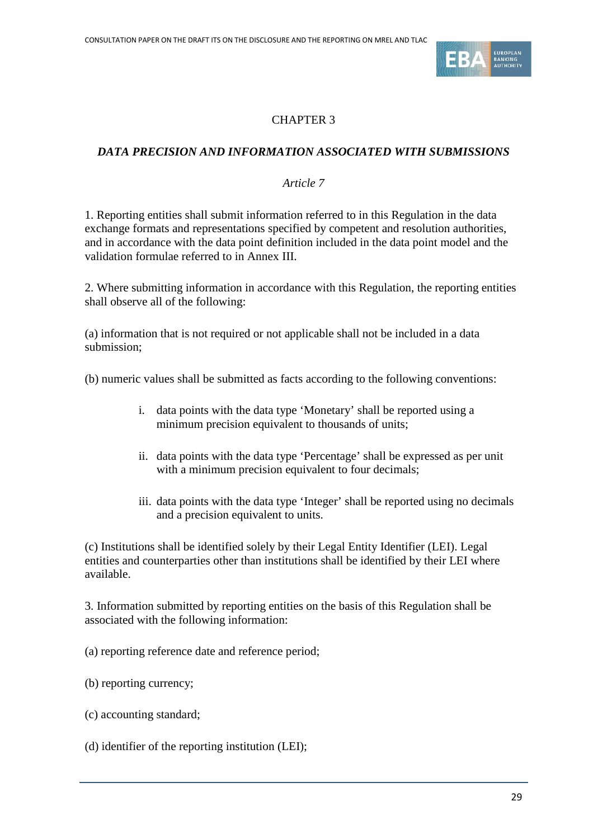

# CHAPTER 3

# *DATA PRECISION AND INFORMATION ASSOCIATED WITH SUBMISSIONS*

#### *Article 7*

1. Reporting entities shall submit information referred to in this Regulation in the data exchange formats and representations specified by competent and resolution authorities, and in accordance with the data point definition included in the data point model and the validation formulae referred to in Annex III.

2. Where submitting information in accordance with this Regulation, the reporting entities shall observe all of the following:

(a) information that is not required or not applicable shall not be included in a data submission;

(b) numeric values shall be submitted as facts according to the following conventions:

- i. data points with the data type 'Monetary' shall be reported using a minimum precision equivalent to thousands of units;
- ii. data points with the data type 'Percentage' shall be expressed as per unit with a minimum precision equivalent to four decimals;
- iii. data points with the data type 'Integer' shall be reported using no decimals and a precision equivalent to units.

(c) Institutions shall be identified solely by their Legal Entity Identifier (LEI). Legal entities and counterparties other than institutions shall be identified by their LEI where available.

3. Information submitted by reporting entities on the basis of this Regulation shall be associated with the following information:

- (a) reporting reference date and reference period;
- (b) reporting currency;
- (c) accounting standard;
- (d) identifier of the reporting institution (LEI);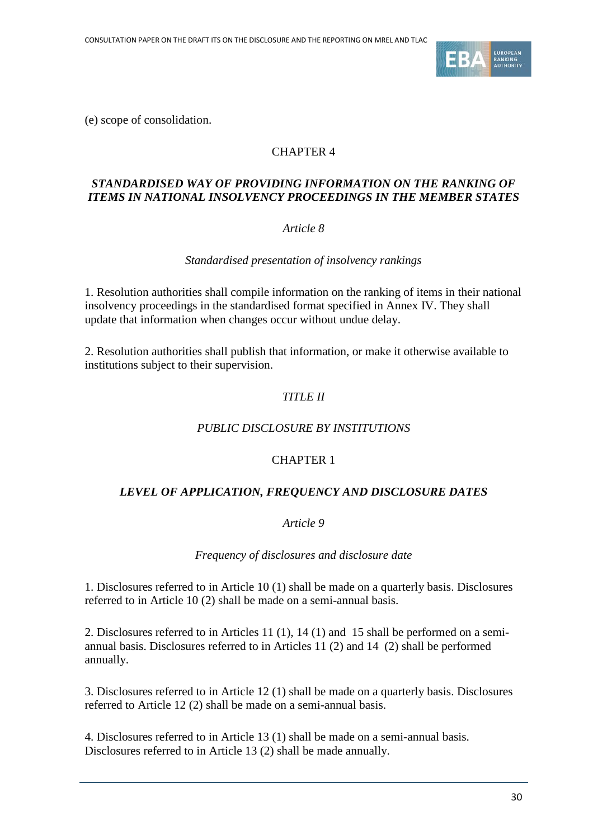

(e) scope of consolidation.

# CHAPTER 4

#### *STANDARDISED WAY OF PROVIDING INFORMATION ON THE RANKING OF ITEMS IN NATIONAL INSOLVENCY PROCEEDINGS IN THE MEMBER STATES*

#### *Article 8*

*Standardised presentation of insolvency rankings*

1. Resolution authorities shall compile information on the ranking of items in their national insolvency proceedings in the standardised format specified in Annex IV. They shall update that information when changes occur without undue delay.

2. Resolution authorities shall publish that information, or make it otherwise available to institutions subject to their supervision.

# *TITLE II*

#### *PUBLIC DISCLOSURE BY INSTITUTIONS*

## CHAPTER 1

#### *LEVEL OF APPLICATION, FREQUENCY AND DISCLOSURE DATES*

*Article 9*

*Frequency of disclosures and disclosure date*

1. Disclosures referred to in [Article 10](#page-30-0) (1) shall be made on a quarterly basis. Disclosures referred to in Article 10 (2) shall be made on a semi-annual basis.

2. Disclosures referred to in Articles [11](#page-30-1) (1), [14](#page-31-0) (1) and [15](#page-32-0) shall be performed on a semiannual basis. Disclosures referred to in Articles [11](#page-30-1) (2) and [14](#page-31-0) (2) shall be performed annually.

3. Disclosures referred to in [Article 12](#page-31-1) (1) shall be made on a quarterly basis. Disclosures referred to [Article 12](#page-31-1) (2) shall be made on a semi-annual basis.

4. Disclosures referred to in [Article 13](#page-31-2) (1) shall be made on a semi-annual basis. Disclosures referred to in [Article 13](#page-31-2) (2) shall be made annually.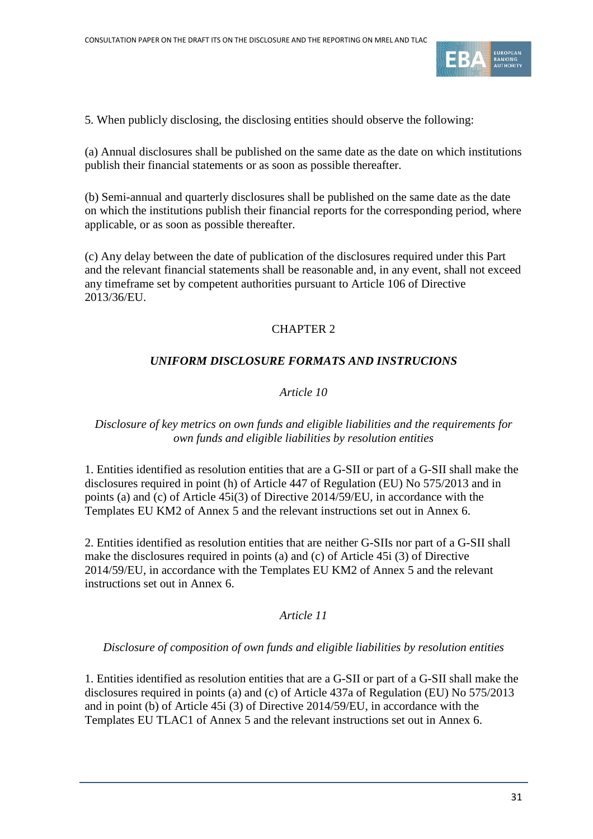

5. When publicly disclosing, the disclosing entities should observe the following:

(a) Annual disclosures shall be published on the same date as the date on which institutions publish their financial statements or as soon as possible thereafter.

(b) Semi-annual and quarterly disclosures shall be published on the same date as the date on which the institutions publish their financial reports for the corresponding period, where applicable, or as soon as possible thereafter.

(c) Any delay between the date of publication of the disclosures required under this Part and the relevant financial statements shall be reasonable and, in any event, shall not exceed any timeframe set by competent authorities pursuant to Article 106 of Directive 2013/36/EU.

# CHAPTER 2

# *UNIFORM DISCLOSURE FORMATS AND INSTRUCIONS*

## *Article 10*

## <span id="page-30-0"></span>*Disclosure of key metrics on own funds and eligible liabilities and the requirements for own funds and eligible liabilities by resolution entities*

1. Entities identified as resolution entities that are a G-SII or part of a G-SII shall make the disclosures required in point (h) of Article 447 of Regulation (EU) No 575/2013 and in points (a) and (c) of Article 45i(3) of Directive 2014/59/EU, in accordance with the Templates EU KM2 of Annex 5 and the relevant instructions set out in Annex 6.

2. Entities identified as resolution entities that are neither G-SIIs nor part of a G-SII shall make the disclosures required in points (a) and (c) of Article 45i (3) of Directive 2014/59/EU, in accordance with the Templates EU KM2 of Annex 5 and the relevant instructions set out in Annex 6.

## *Article 11*

## <span id="page-30-1"></span>*Disclosure of composition of own funds and eligible liabilities by resolution entities*

1. Entities identified as resolution entities that are a G-SII or part of a G-SII shall make the disclosures required in points (a) and (c) of Article 437a of Regulation (EU) No 575/2013 and in point (b) of Article 45i (3) of Directive 2014/59/EU, in accordance with the Templates EU TLAC1 of Annex 5 and the relevant instructions set out in Annex 6.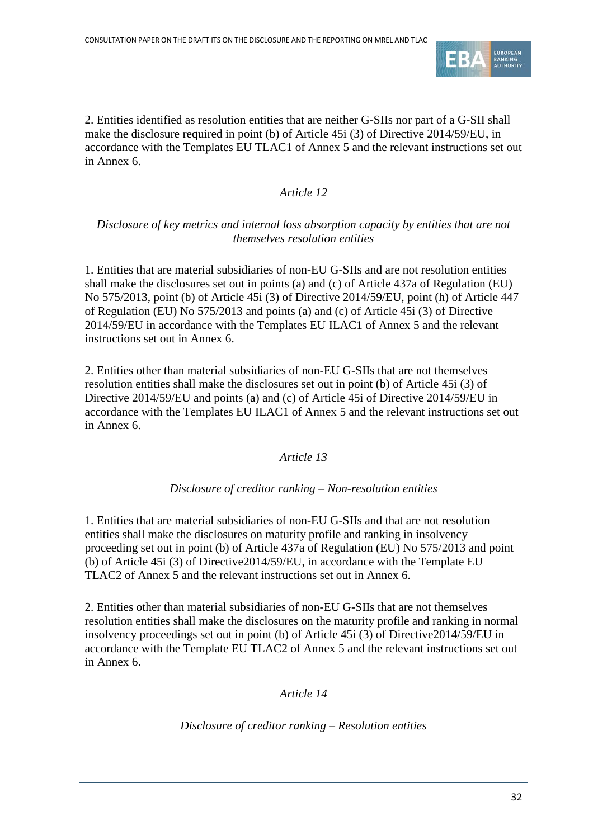

2. Entities identified as resolution entities that are neither G-SIIs nor part of a G-SII shall make the disclosure required in point (b) of Article 45i (3) of Directive 2014/59/EU, in accordance with the Templates EU TLAC1 of Annex 5 and the relevant instructions set out in Annex 6.

# *Article 12*

# <span id="page-31-1"></span>*Disclosure of key metrics and internal loss absorption capacity by entities that are not themselves resolution entities*

1. Entities that are material subsidiaries of non-EU G-SIIs and are not resolution entities shall make the disclosures set out in points (a) and (c) of Article 437a of Regulation (EU) No 575/2013, point (b) of Article 45i (3) of Directive 2014/59/EU, point (h) of Article 447 of Regulation (EU) No 575/2013 and points (a) and (c) of Article 45i (3) of Directive 2014/59/EU in accordance with the Templates EU ILAC1 of Annex 5 and the relevant instructions set out in Annex 6.

<span id="page-31-2"></span>2. Entities other than material subsidiaries of non-EU G-SIIs that are not themselves resolution entities shall make the disclosures set out in point (b) of Article 45i (3) of Directive 2014/59/EU and points (a) and (c) of Article 45i of Directive 2014/59/EU in accordance with the Templates EU ILAC1 of Annex 5 and the relevant instructions set out in Annex 6.

## *Article 13*

## *Disclosure of creditor ranking – Non-resolution entities*

1. Entities that are material subsidiaries of non-EU G-SIIs and that are not resolution entities shall make the disclosures on maturity profile and ranking in insolvency proceeding set out in point (b) of Article 437a of Regulation (EU) No 575/2013 and point (b) of Article 45i (3) of Directive2014/59/EU, in accordance with the Template EU TLAC2 of Annex 5 and the relevant instructions set out in Annex 6.

<span id="page-31-0"></span>2. Entities other than material subsidiaries of non-EU G-SIIs that are not themselves resolution entities shall make the disclosures on the maturity profile and ranking in normal insolvency proceedings set out in point (b) of Article 45i (3) of Directive2014/59/EU in accordance with the Template EU TLAC2 of Annex 5 and the relevant instructions set out in Annex 6.

## *Article 14*

## *Disclosure of creditor ranking – Resolution entities*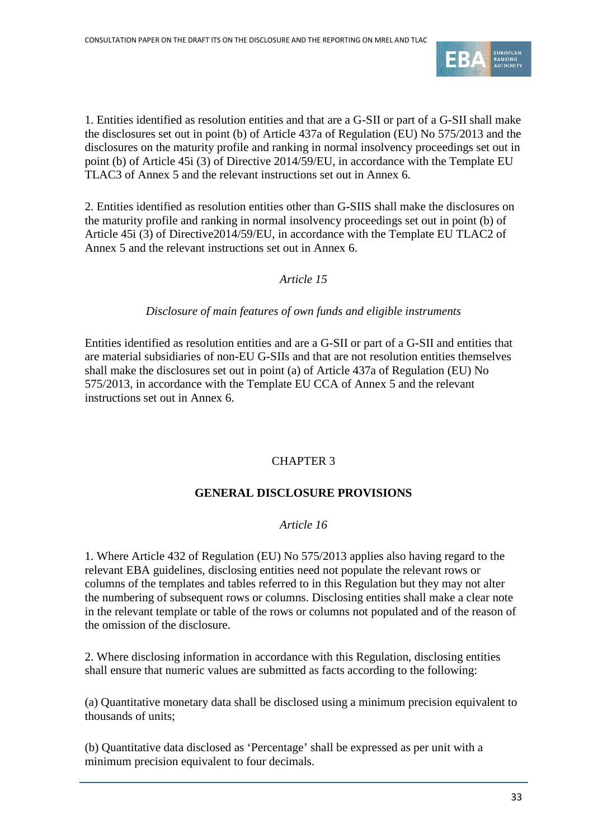

1. Entities identified as resolution entities and that are a G-SII or part of a G-SII shall make the disclosures set out in point (b) of Article 437a of Regulation (EU) No 575/2013 and the disclosures on the maturity profile and ranking in normal insolvency proceedings set out in point (b) of Article 45i (3) of Directive 2014/59/EU, in accordance with the Template EU TLAC3 of Annex 5 and the relevant instructions set out in Annex 6.

<span id="page-32-0"></span>2. Entities identified as resolution entities other than G-SIIS shall make the disclosures on the maturity profile and ranking in normal insolvency proceedings set out in point (b) of Article 45i (3) of Directive2014/59/EU, in accordance with the Template EU TLAC2 of Annex 5 and the relevant instructions set out in Annex 6.

# *Article 15*

## *Disclosure of main features of own funds and eligible instruments*

Entities identified as resolution entities and are a G-SII or part of a G-SII and entities that are material subsidiaries of non-EU G-SIIs and that are not resolution entities themselves shall make the disclosures set out in point (a) of Article 437a of Regulation (EU) No 575/2013, in accordance with the Template EU CCA of Annex 5 and the relevant instructions set out in Annex 6.

## CHAPTER 3

## **GENERAL DISCLOSURE PROVISIONS**

## *Article 16*

1. Where Article 432 of Regulation (EU) No 575/2013 applies also having regard to the relevant EBA guidelines, disclosing entities need not populate the relevant rows or columns of the templates and tables referred to in this Regulation but they may not alter the numbering of subsequent rows or columns. Disclosing entities shall make a clear note in the relevant template or table of the rows or columns not populated and of the reason of the omission of the disclosure.

2. Where disclosing information in accordance with this Regulation, disclosing entities shall ensure that numeric values are submitted as facts according to the following:

(a) Quantitative monetary data shall be disclosed using a minimum precision equivalent to thousands of units;

(b) Quantitative data disclosed as 'Percentage' shall be expressed as per unit with a minimum precision equivalent to four decimals.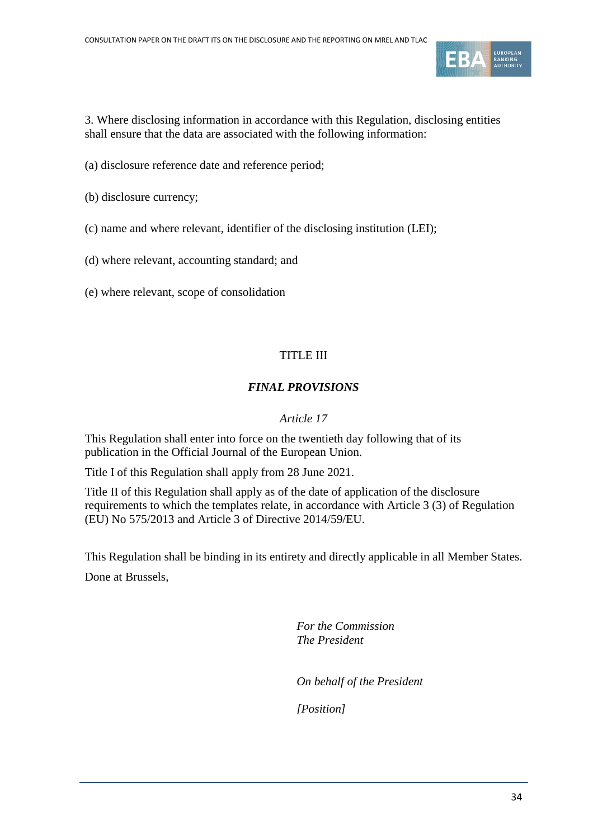

3. Where disclosing information in accordance with this Regulation, disclosing entities shall ensure that the data are associated with the following information:

- (a) disclosure reference date and reference period;
- (b) disclosure currency;
- (c) name and where relevant, identifier of the disclosing institution (LEI);
- (d) where relevant, accounting standard; and
- (e) where relevant, scope of consolidation

# TITLE III

# *FINAL PROVISIONS*

## *Article 17*

This Regulation shall enter into force on the twentieth day following that of its publication in the Official Journal of the European Union.

Title I of this Regulation shall apply from 28 June 2021.

Title II of this Regulation shall apply as of the date of application of the disclosure requirements to which the templates relate, in accordance with Article 3 (3) of Regulation (EU) No 575/2013 and Article 3 of Directive 2014/59/EU.

This Regulation shall be binding in its entirety and directly applicable in all Member States. Done at Brussels,

> *For the Commission The President*

*On behalf of the President*

*[Position]*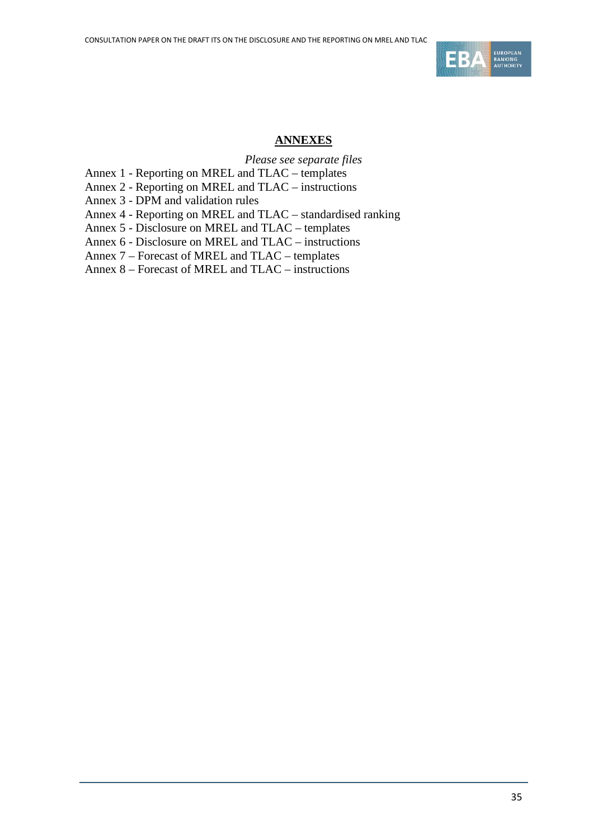

## **ANNEXES**

*Please see separate files*

Annex 1 - Reporting on MREL and TLAC – templates

Annex 2 - Reporting on MREL and TLAC – instructions

Annex 3 - DPM and validation rules

Annex 4 - Reporting on MREL and TLAC – standardised ranking

Annex 5 - Disclosure on MREL and TLAC – templates

Annex 6 - Disclosure on MREL and TLAC – instructions

Annex 7 – Forecast of MREL and TLAC – templates

Annex 8 – Forecast of MREL and TLAC – instructions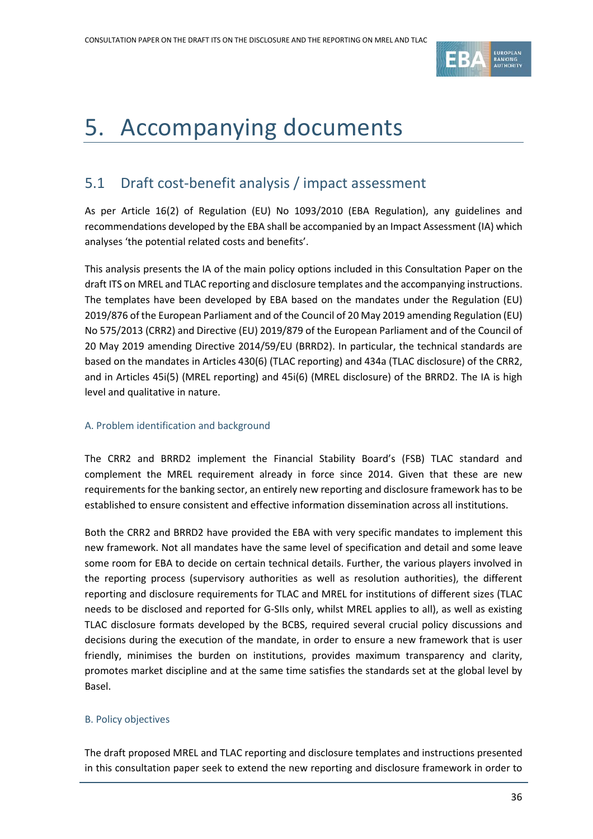

# <span id="page-35-0"></span>5. Accompanying documents

# <span id="page-35-1"></span>5.1 Draft cost-benefit analysis / impact assessment

As per Article 16(2) of Regulation (EU) No 1093/2010 (EBA Regulation), any guidelines and recommendations developed by the EBA shall be accompanied by an Impact Assessment (IA) which analyses 'the potential related costs and benefits'.

This analysis presents the IA of the main policy options included in this Consultation Paper on the draft ITS on MREL and TLAC reporting and disclosure templates and the accompanying instructions. The templates have been developed by EBA based on the mandates under the Regulation (EU) 2019/876 of the European Parliament and of the Council of 20 May 2019 amending Regulation (EU) No 575/2013 (CRR2) and Directive (EU) 2019/879 of the European Parliament and of the Council of 20 May 2019 amending Directive 2014/59/EU (BRRD2). In particular, the technical standards are based on the mandates in Articles 430(6) (TLAC reporting) and 434a (TLAC disclosure) of the CRR2, and in Articles 45i(5) (MREL reporting) and 45i(6) (MREL disclosure) of the BRRD2. The IA is high level and qualitative in nature.

#### A. Problem identification and background

The CRR2 and BRRD2 implement the Financial Stability Board's (FSB) TLAC standard and complement the MREL requirement already in force since 2014. Given that these are new requirements for the banking sector, an entirely new reporting and disclosure framework has to be established to ensure consistent and effective information dissemination across all institutions.

Both the CRR2 and BRRD2 have provided the EBA with very specific mandates to implement this new framework. Not all mandates have the same level of specification and detail and some leave some room for EBA to decide on certain technical details. Further, the various players involved in the reporting process (supervisory authorities as well as resolution authorities), the different reporting and disclosure requirements for TLAC and MREL for institutions of different sizes (TLAC needs to be disclosed and reported for G-SIIs only, whilst MREL applies to all), as well as existing TLAC disclosure formats developed by the BCBS, required several crucial policy discussions and decisions during the execution of the mandate, in order to ensure a new framework that is user friendly, minimises the burden on institutions, provides maximum transparency and clarity, promotes market discipline and at the same time satisfies the standards set at the global level by Basel.

#### B. Policy objectives

The draft proposed MREL and TLAC reporting and disclosure templates and instructions presented in this consultation paper seek to extend the new reporting and disclosure framework in order to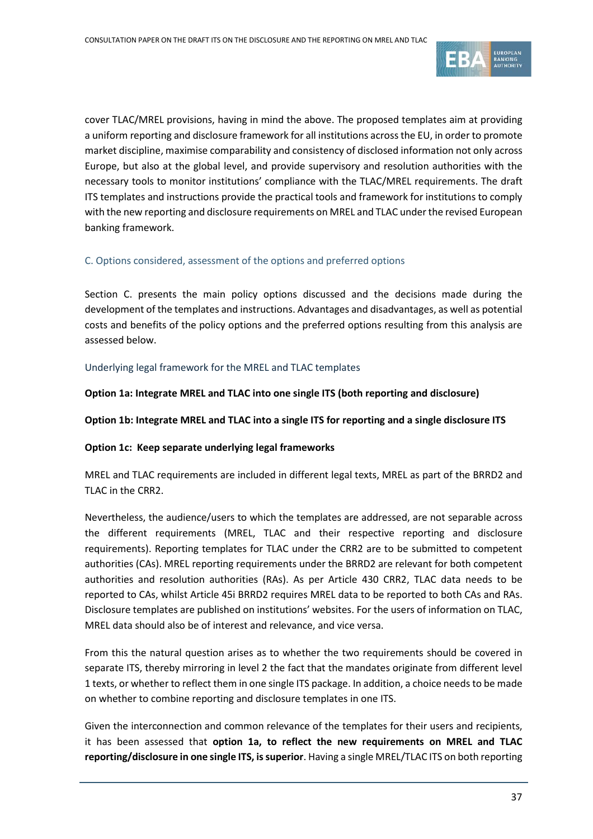

cover TLAC/MREL provisions, having in mind the above. The proposed templates aim at providing a uniform reporting and disclosure framework for all institutions across the EU, in order to promote market discipline, maximise comparability and consistency of disclosed information not only across Europe, but also at the global level, and provide supervisory and resolution authorities with the necessary tools to monitor institutions' compliance with the TLAC/MREL requirements. The draft ITS templates and instructions provide the practical tools and framework for institutions to comply with the new reporting and disclosure requirements on MREL and TLAC under the revised European banking framework.

#### C. Options considered, assessment of the options and preferred options

Section C. presents the main policy options discussed and the decisions made during the development of the templates and instructions. Advantages and disadvantages, as well as potential costs and benefits of the policy options and the preferred options resulting from this analysis are assessed below.

#### Underlying legal framework for the MREL and TLAC templates

**Option 1a: Integrate MREL and TLAC into one single ITS (both reporting and disclosure)**

**Option 1b: Integrate MREL and TLAC into a single ITS for reporting and a single disclosure ITS**

#### **Option 1c: Keep separate underlying legal frameworks**

MREL and TLAC requirements are included in different legal texts, MREL as part of the BRRD2 and TLAC in the CRR2.

Nevertheless, the audience/users to which the templates are addressed, are not separable across the different requirements (MREL, TLAC and their respective reporting and disclosure requirements). Reporting templates for TLAC under the CRR2 are to be submitted to competent authorities (CAs). MREL reporting requirements under the BRRD2 are relevant for both competent authorities and resolution authorities (RAs). As per Article 430 CRR2, TLAC data needs to be reported to CAs, whilst Article 45i BRRD2 requires MREL data to be reported to both CAs and RAs. Disclosure templates are published on institutions' websites. For the users of information on TLAC, MREL data should also be of interest and relevance, and vice versa.

From this the natural question arises as to whether the two requirements should be covered in separate ITS, thereby mirroring in level 2 the fact that the mandates originate from different level 1 texts, or whether to reflect them in one single ITS package. In addition, a choice needs to be made on whether to combine reporting and disclosure templates in one ITS.

Given the interconnection and common relevance of the templates for their users and recipients, it has been assessed that **option 1a, to reflect the new requirements on MREL and TLAC reporting/disclosure in one single ITS, is superior**. Having a single MREL/TLAC ITS on both reporting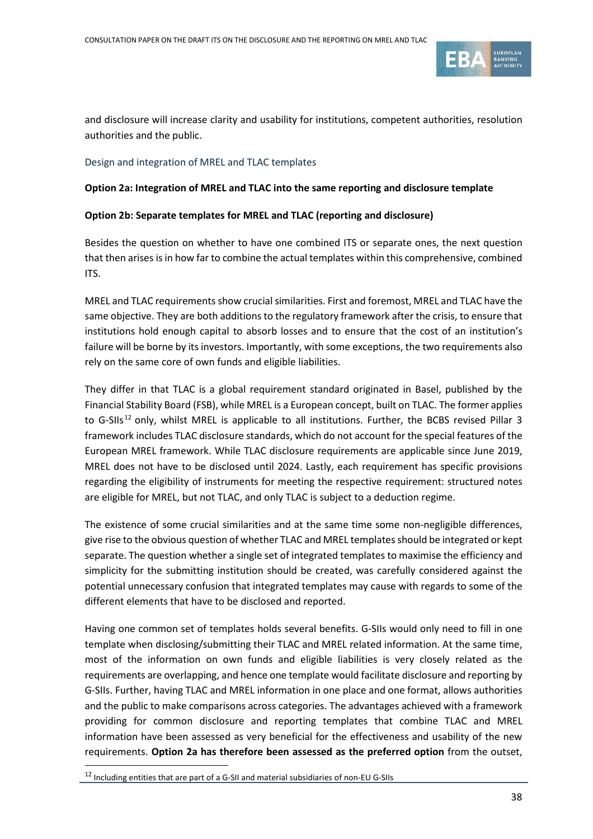

and disclosure will increase clarity and usability for institutions, competent authorities, resolution authorities and the public.

#### Design and integration of MREL and TLAC templates

#### **Option 2a: Integration of MREL and TLAC into the same reporting and disclosure template**

#### **Option 2b: Separate templates for MREL and TLAC (reporting and disclosure)**

Besides the question on whether to have one combined ITS or separate ones, the next question that then arises is in how far to combine the actual templates within this comprehensive, combined ITS.

MREL and TLAC requirements show crucial similarities. First and foremost, MREL and TLAC have the same objective. They are both additions to the regulatory framework after the crisis, to ensure that institutions hold enough capital to absorb losses and to ensure that the cost of an institution's failure will be borne by its investors. Importantly, with some exceptions, the two requirements also rely on the same core of own funds and eligible liabilities.

They differ in that TLAC is a global requirement standard originated in Basel, published by the Financial Stability Board (FSB), while MREL is a European concept, built on TLAC. The former applies to G-SIIs<sup>[12](#page-37-0)</sup> only, whilst MREL is applicable to all institutions. Further, the BCBS revised Pillar 3 framework includes TLAC disclosure standards, which do not account for the special features of the European MREL framework. While TLAC disclosure requirements are applicable since June 2019, MREL does not have to be disclosed until 2024. Lastly, each requirement has specific provisions regarding the eligibility of instruments for meeting the respective requirement: structured notes are eligible for MREL, but not TLAC, and only TLAC is subject to a deduction regime.

The existence of some crucial similarities and at the same time some non-negligible differences, give rise to the obvious question of whether TLAC and MREL templates should be integrated or kept separate. The question whether a single set of integrated templates to maximise the efficiency and simplicity for the submitting institution should be created, was carefully considered against the potential unnecessary confusion that integrated templates may cause with regards to some of the different elements that have to be disclosed and reported.

Having one common set of templates holds several benefits. G-SIIs would only need to fill in one template when disclosing/submitting their TLAC and MREL related information. At the same time, most of the information on own funds and eligible liabilities is very closely related as the requirements are overlapping, and hence one template would facilitate disclosure and reporting by G-SIIs. Further, having TLAC and MREL information in one place and one format, allows authorities and the public to make comparisons across categories. The advantages achieved with a framework providing for common disclosure and reporting templates that combine TLAC and MREL information have been assessed as very beneficial for the effectiveness and usability of the new requirements. **Option 2a has therefore been assessed as the preferred option** from the outset,

<span id="page-37-0"></span><sup>12</sup> Including entities that are part of a G-SII and material subsidiaries of non-EU G-SIIs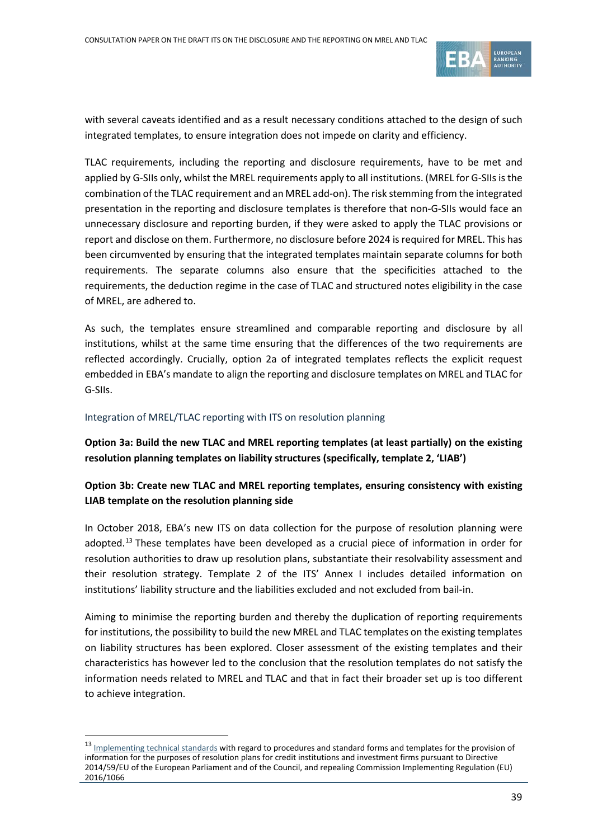

with several caveats identified and as a result necessary conditions attached to the design of such integrated templates, to ensure integration does not impede on clarity and efficiency.

TLAC requirements, including the reporting and disclosure requirements, have to be met and applied by G-SIIs only, whilst the MREL requirements apply to all institutions. (MREL for G-SIIs is the combination of the TLAC requirement and an MREL add-on). The risk stemming from the integrated presentation in the reporting and disclosure templates is therefore that non-G-SIIs would face an unnecessary disclosure and reporting burden, if they were asked to apply the TLAC provisions or report and disclose on them. Furthermore, no disclosure before 2024 is required for MREL. This has been circumvented by ensuring that the integrated templates maintain separate columns for both requirements. The separate columns also ensure that the specificities attached to the requirements, the deduction regime in the case of TLAC and structured notes eligibility in the case of MREL, are adhered to.

As such, the templates ensure streamlined and comparable reporting and disclosure by all institutions, whilst at the same time ensuring that the differences of the two requirements are reflected accordingly. Crucially, option 2a of integrated templates reflects the explicit request embedded in EBA's mandate to align the reporting and disclosure templates on MREL and TLAC for G-SIIs.

#### Integration of MREL/TLAC reporting with ITS on resolution planning

 $\overline{a}$ 

**Option 3a: Build the new TLAC and MREL reporting templates (at least partially) on the existing resolution planning templates on liability structures (specifically, template 2, 'LIAB')**

**Option 3b: Create new TLAC and MREL reporting templates, ensuring consistency with existing LIAB template on the resolution planning side** 

In October 2018, EBA's new ITS on data collection for the purpose of resolution planning were adopted.<sup>[13](#page-38-0)</sup> These templates have been developed as a crucial piece of information in order for resolution authorities to draw up resolution plans, substantiate their resolvability assessment and their resolution strategy. Template 2 of the ITS' Annex I includes detailed information on institutions' liability structure and the liabilities excluded and not excluded from bail-in.

Aiming to minimise the reporting burden and thereby the duplication of reporting requirements for institutions, the possibility to build the new MREL and TLAC templates on the existing templates on liability structures has been explored. Closer assessment of the existing templates and their characteristics has however led to the conclusion that the resolution templates do not satisfy the information needs related to MREL and TLAC and that in fact their broader set up is too different to achieve integration.

<span id="page-38-0"></span><sup>13</sup> [Implementing technical standards](https://eur-lex.europa.eu/legal-content/EN/TXT/PDF/?uri=CELEX:32018R1624&from=EN) with regard to procedures and standard forms and templates for the provision of information for the purposes of resolution plans for credit institutions and investment firms pursuant to Directive 2014/59/EU of the European Parliament and of the Council, and repealing Commission Implementing Regulation (EU) 2016/1066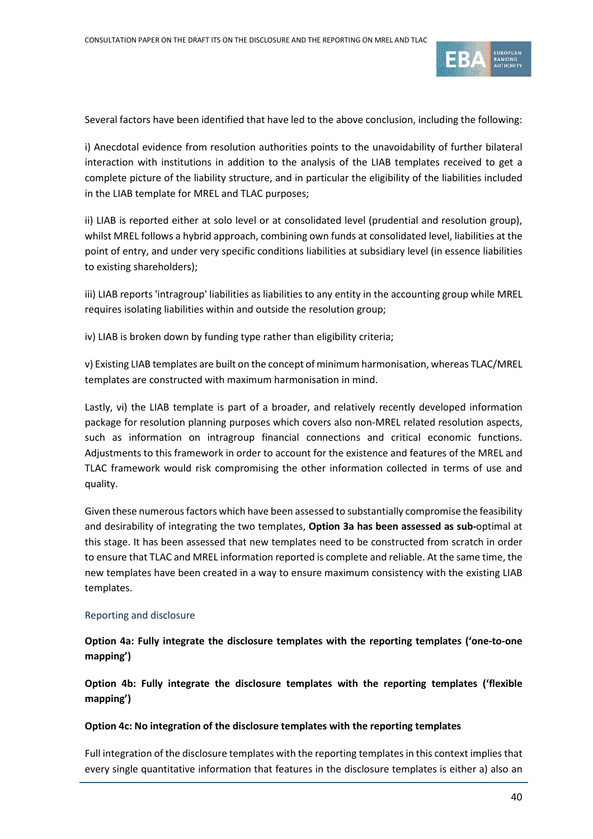

Several factors have been identified that have led to the above conclusion, including the following:

i) Anecdotal evidence from resolution authorities points to the unavoidability of further bilateral interaction with institutions in addition to the analysis of the LIAB templates received to get a complete picture of the liability structure, and in particular the eligibility of the liabilities included in the LIAB template for MREL and TLAC purposes;

ii) LIAB is reported either at solo level or at consolidated level (prudential and resolution group), whilst MREL follows a hybrid approach, combining own funds at consolidated level, liabilities at the point of entry, and under very specific conditions liabilities at subsidiary level (in essence liabilities to existing shareholders);

iii) LIAB reports 'intragroup' liabilities as liabilities to any entity in the accounting group while MREL requires isolating liabilities within and outside the resolution group;

iv) LIAB is broken down by funding type rather than eligibility criteria;

v) Existing LIAB templates are built on the concept of minimum harmonisation, whereas TLAC/MREL templates are constructed with maximum harmonisation in mind.

Lastly, vi) the LIAB template is part of a broader, and relatively recently developed information package for resolution planning purposes which covers also non-MREL related resolution aspects, such as information on intragroup financial connections and critical economic functions. Adjustments to this framework in order to account for the existence and features of the MREL and TLAC framework would risk compromising the other information collected in terms of use and quality.

Given these numerous factors which have been assessed to substantially compromise the feasibility and desirability of integrating the two templates, **Option 3a has been assessed as sub-**optimal at this stage. It has been assessed that new templates need to be constructed from scratch in order to ensure that TLAC and MREL information reported is complete and reliable. At the same time, the new templates have been created in a way to ensure maximum consistency with the existing LIAB templates.

#### Reporting and disclosure

**Option 4a: Fully integrate the disclosure templates with the reporting templates ('one-to-one mapping')**

**Option 4b: Fully integrate the disclosure templates with the reporting templates ('flexible mapping')**

#### **Option 4c: No integration of the disclosure templates with the reporting templates**

Full integration of the disclosure templates with the reporting templates in this context implies that every single quantitative information that features in the disclosure templates is either a) also an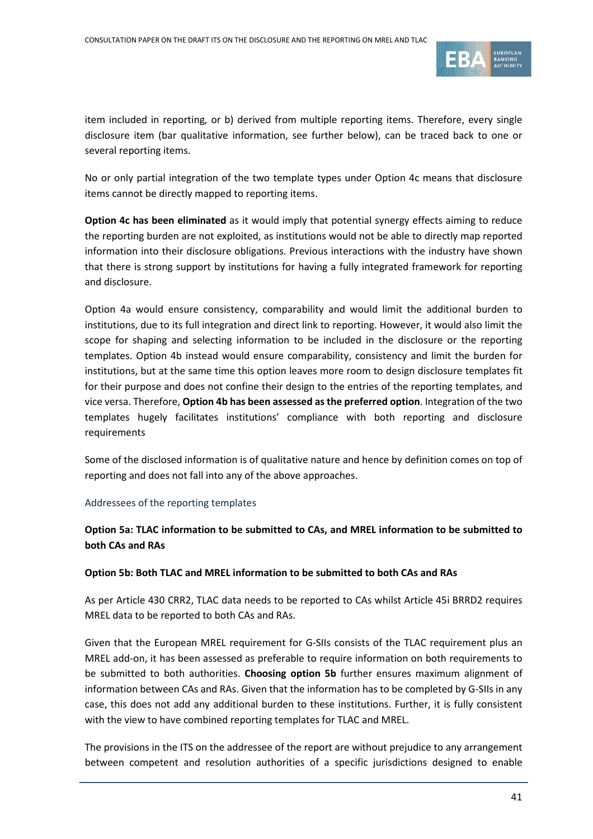

item included in reporting, or b) derived from multiple reporting items. Therefore, every single disclosure item (bar qualitative information, see further below), can be traced back to one or several reporting items.

No or only partial integration of the two template types under Option 4c means that disclosure items cannot be directly mapped to reporting items.

**Option 4c has been eliminated** as it would imply that potential synergy effects aiming to reduce the reporting burden are not exploited, as institutions would not be able to directly map reported information into their disclosure obligations. Previous interactions with the industry have shown that there is strong support by institutions for having a fully integrated framework for reporting and disclosure.

Option 4a would ensure consistency, comparability and would limit the additional burden to institutions, due to its full integration and direct link to reporting. However, it would also limit the scope for shaping and selecting information to be included in the disclosure or the reporting templates. Option 4b instead would ensure comparability, consistency and limit the burden for institutions, but at the same time this option leaves more room to design disclosure templates fit for their purpose and does not confine their design to the entries of the reporting templates, and vice versa. Therefore, **Option 4b has been assessed as the preferred option**. Integration of the two templates hugely facilitates institutions' compliance with both reporting and disclosure requirements

Some of the disclosed information is of qualitative nature and hence by definition comes on top of reporting and does not fall into any of the above approaches.

#### Addressees of the reporting templates

## **Option 5a: TLAC information to be submitted to CAs, and MREL information to be submitted to both CAs and RAs**

#### **Option 5b: Both TLAC and MREL information to be submitted to both CAs and RAs**

As per Article 430 CRR2, TLAC data needs to be reported to CAs whilst Article 45i BRRD2 requires MREL data to be reported to both CAs and RAs.

Given that the European MREL requirement for G-SIIs consists of the TLAC requirement plus an MREL add-on, it has been assessed as preferable to require information on both requirements to be submitted to both authorities. **Choosing option 5b** further ensures maximum alignment of information between CAs and RAs. Given that the information has to be completed by G-SIIs in any case, this does not add any additional burden to these institutions. Further, it is fully consistent with the view to have combined reporting templates for TLAC and MREL.

The provisions in the ITS on the addressee of the report are without prejudice to any arrangement between competent and resolution authorities of a specific jurisdictions designed to enable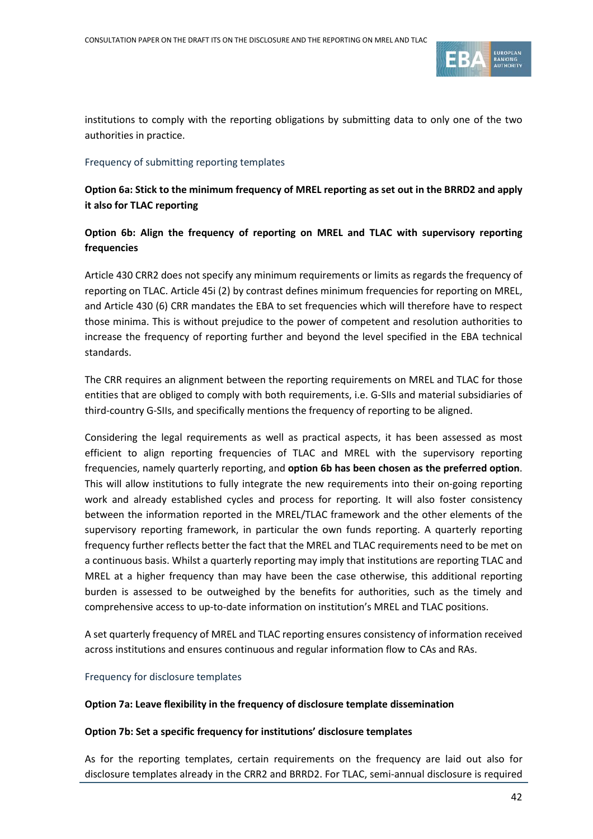

institutions to comply with the reporting obligations by submitting data to only one of the two authorities in practice.

#### Frequency of submitting reporting templates

**Option 6a: Stick to the minimum frequency of MREL reporting as set out in the BRRD2 and apply it also for TLAC reporting**

# **Option 6b: Align the frequency of reporting on MREL and TLAC with supervisory reporting frequencies**

Article 430 CRR2 does not specify any minimum requirements or limits as regards the frequency of reporting on TLAC. Article 45i (2) by contrast defines minimum frequencies for reporting on MREL, and Article 430 (6) CRR mandates the EBA to set frequencies which will therefore have to respect those minima. This is without prejudice to the power of competent and resolution authorities to increase the frequency of reporting further and beyond the level specified in the EBA technical standards.

The CRR requires an alignment between the reporting requirements on MREL and TLAC for those entities that are obliged to comply with both requirements, i.e. G-SIIs and material subsidiaries of third-country G-SIIs, and specifically mentions the frequency of reporting to be aligned.

Considering the legal requirements as well as practical aspects, it has been assessed as most efficient to align reporting frequencies of TLAC and MREL with the supervisory reporting frequencies, namely quarterly reporting, and **option 6b has been chosen as the preferred option**. This will allow institutions to fully integrate the new requirements into their on-going reporting work and already established cycles and process for reporting. It will also foster consistency between the information reported in the MREL/TLAC framework and the other elements of the supervisory reporting framework, in particular the own funds reporting. A quarterly reporting frequency further reflects better the fact that the MREL and TLAC requirements need to be met on a continuous basis. Whilst a quarterly reporting may imply that institutions are reporting TLAC and MREL at a higher frequency than may have been the case otherwise, this additional reporting burden is assessed to be outweighed by the benefits for authorities, such as the timely and comprehensive access to up-to-date information on institution's MREL and TLAC positions.

A set quarterly frequency of MREL and TLAC reporting ensures consistency of information received across institutions and ensures continuous and regular information flow to CAs and RAs.

#### Frequency for disclosure templates

#### **Option 7a: Leave flexibility in the frequency of disclosure template dissemination**

#### **Option 7b: Set a specific frequency for institutions' disclosure templates**

As for the reporting templates, certain requirements on the frequency are laid out also for disclosure templates already in the CRR2 and BRRD2. For TLAC, semi-annual disclosure is required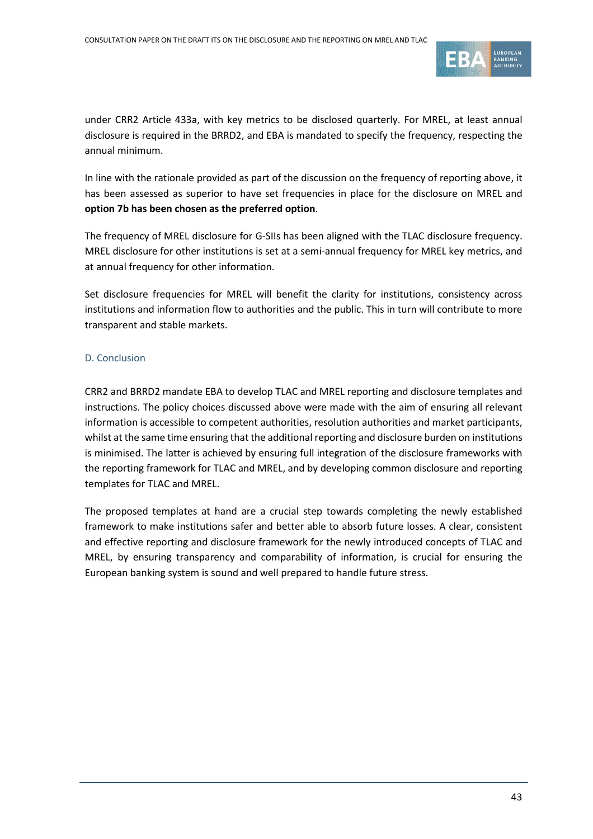

under CRR2 Article 433a, with key metrics to be disclosed quarterly. For MREL, at least annual disclosure is required in the BRRD2, and EBA is mandated to specify the frequency, respecting the annual minimum.

In line with the rationale provided as part of the discussion on the frequency of reporting above, it has been assessed as superior to have set frequencies in place for the disclosure on MREL and **option 7b has been chosen as the preferred option**.

The frequency of MREL disclosure for G-SIIs has been aligned with the TLAC disclosure frequency. MREL disclosure for other institutions is set at a semi-annual frequency for MREL key metrics, and at annual frequency for other information.

Set disclosure frequencies for MREL will benefit the clarity for institutions, consistency across institutions and information flow to authorities and the public. This in turn will contribute to more transparent and stable markets.

#### D. Conclusion

CRR2 and BRRD2 mandate EBA to develop TLAC and MREL reporting and disclosure templates and instructions. The policy choices discussed above were made with the aim of ensuring all relevant information is accessible to competent authorities, resolution authorities and market participants, whilst at the same time ensuring that the additional reporting and disclosure burden on institutions is minimised. The latter is achieved by ensuring full integration of the disclosure frameworks with the reporting framework for TLAC and MREL, and by developing common disclosure and reporting templates for TLAC and MREL.

The proposed templates at hand are a crucial step towards completing the newly established framework to make institutions safer and better able to absorb future losses. A clear, consistent and effective reporting and disclosure framework for the newly introduced concepts of TLAC and MREL, by ensuring transparency and comparability of information, is crucial for ensuring the European banking system is sound and well prepared to handle future stress.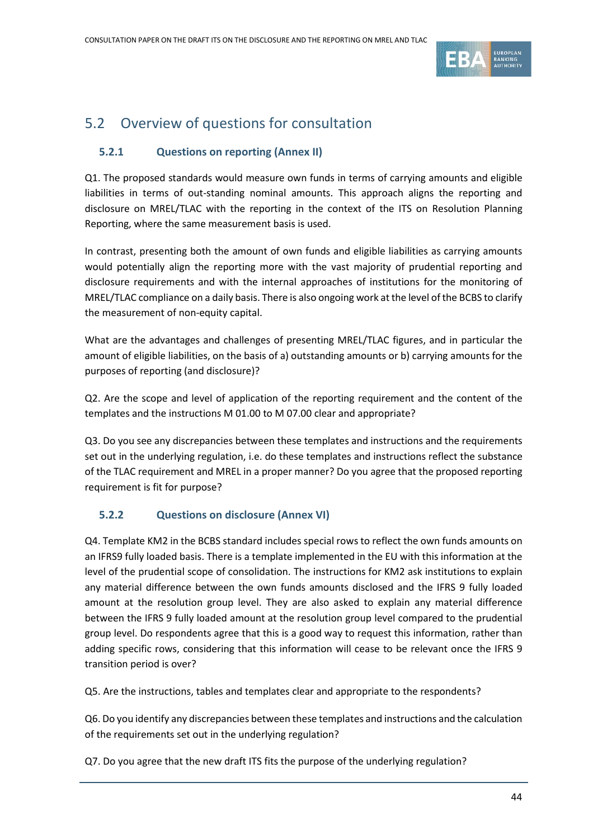

# <span id="page-43-0"></span>5.2 Overview of questions for consultation

# **5.2.1 Questions on reporting (Annex II)**

Q1. The proposed standards would measure own funds in terms of carrying amounts and eligible liabilities in terms of out-standing nominal amounts. This approach aligns the reporting and disclosure on MREL/TLAC with the reporting in the context of the ITS on Resolution Planning Reporting, where the same measurement basis is used.

In contrast, presenting both the amount of own funds and eligible liabilities as carrying amounts would potentially align the reporting more with the vast majority of prudential reporting and disclosure requirements and with the internal approaches of institutions for the monitoring of MREL/TLAC compliance on a daily basis. There is also ongoing work at the level of the BCBS to clarify the measurement of non-equity capital.

What are the advantages and challenges of presenting MREL/TLAC figures, and in particular the amount of eligible liabilities, on the basis of a) outstanding amounts or b) carrying amounts for the purposes of reporting (and disclosure)?

Q2. Are the scope and level of application of the reporting requirement and the content of the templates and the instructions M 01.00 to M 07.00 clear and appropriate?

Q3. Do you see any discrepancies between these templates and instructions and the requirements set out in the underlying regulation, i.e. do these templates and instructions reflect the substance of the TLAC requirement and MREL in a proper manner? Do you agree that the proposed reporting requirement is fit for purpose?

## **5.2.2 Questions on disclosure (Annex VI)**

Q4. Template KM2 in the BCBS standard includes special rows to reflect the own funds amounts on an IFRS9 fully loaded basis. There is a template implemented in the EU with this information at the level of the prudential scope of consolidation. The instructions for KM2 ask institutions to explain any material difference between the own funds amounts disclosed and the IFRS 9 fully loaded amount at the resolution group level. They are also asked to explain any material difference between the IFRS 9 fully loaded amount at the resolution group level compared to the prudential group level. Do respondents agree that this is a good way to request this information, rather than adding specific rows, considering that this information will cease to be relevant once the IFRS 9 transition period is over?

Q5. Are the instructions, tables and templates clear and appropriate to the respondents?

Q6. Do you identify any discrepancies between these templates and instructions and the calculation of the requirements set out in the underlying regulation?

Q7. Do you agree that the new draft ITS fits the purpose of the underlying regulation?